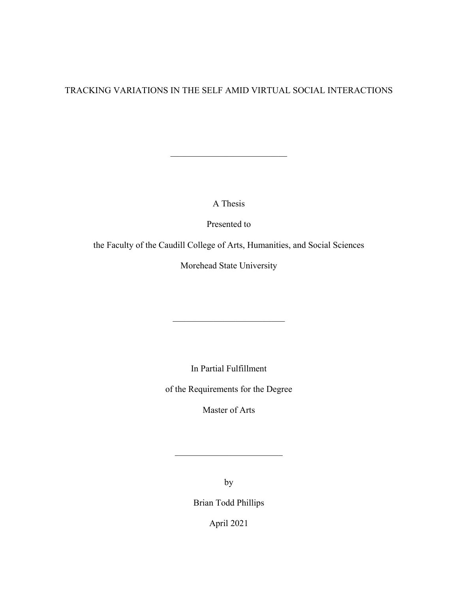# TRACKING VARIATIONS IN THE SELF AMID VIRTUAL SOCIAL INTERACTIONS

A Thesis

Presented to

the Faculty of the Caudill College of Arts, Humanities, and Social Sciences

Morehead State University

In Partial Fulfillment

\_\_\_\_\_\_\_\_\_\_\_\_\_\_\_\_\_\_\_\_\_\_\_\_\_

of the Requirements for the Degree

Master of Arts

by

\_\_\_\_\_\_\_\_\_\_\_\_\_\_\_\_\_\_\_\_\_\_\_\_

Brian Todd Phillips

April 2021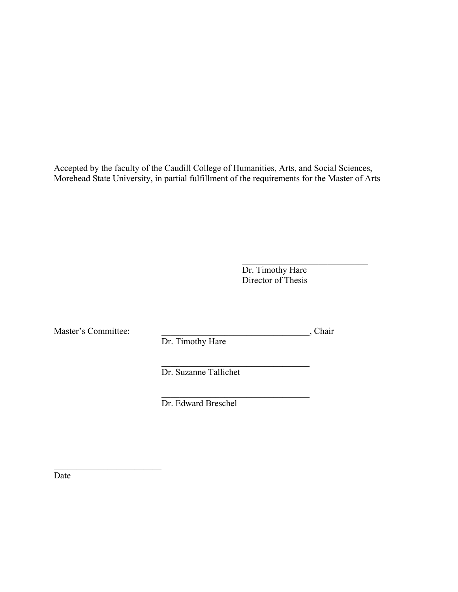Accepted by the faculty of the Caudill College of Humanities, Arts, and Social Sciences, Morehead State University, in partial fulfillment of the requirements for the Master of Arts

> Dr. Timothy Hare Director of Thesis

Master's Committee: \_\_\_\_\_\_\_\_\_\_\_\_\_\_\_\_\_\_\_\_\_\_\_\_\_\_\_\_\_\_\_\_\_, Chair

\_\_\_\_\_\_\_\_\_\_\_\_\_\_\_\_\_\_\_\_\_\_\_\_

 $\mathcal{L}_\text{max}$  , and the set of the set of the set of the set of the set of the set of the set of the set of the set of the set of the set of the set of the set of the set of the set of the set of the set of the set of the Dr. Suzanne Tallichet

Dr. Timothy Hare

Dr. Edward Breschel

 $\mathcal{L}_\text{max}$  , and the set of the set of the set of the set of the set of the set of the set of the set of the set of the set of the set of the set of the set of the set of the set of the set of the set of the set of the

Date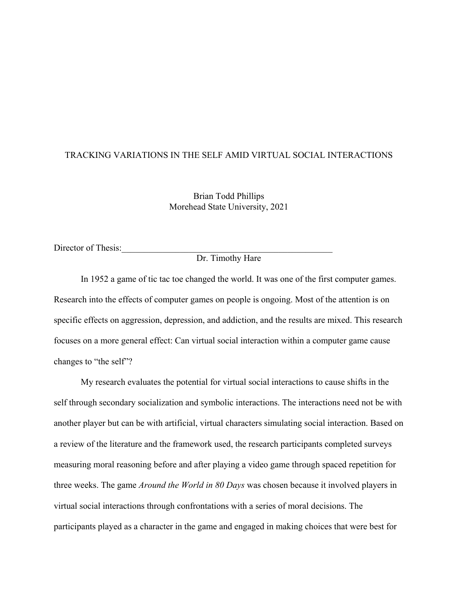# TRACKING VARIATIONS IN THE SELF AMID VIRTUAL SOCIAL INTERACTIONS

Brian Todd Phillips Morehead State University, 2021

Director of Thesis:

# Dr. Timothy Hare

In 1952 a game of tic tac toe changed the world. It was one of the first computer games. Research into the effects of computer games on people is ongoing. Most of the attention is on specific effects on aggression, depression, and addiction, and the results are mixed. This research focuses on a more general effect: Can virtual social interaction within a computer game cause changes to "the self"?

My research evaluates the potential for virtual social interactions to cause shifts in the self through secondary socialization and symbolic interactions. The interactions need not be with another player but can be with artificial, virtual characters simulating social interaction. Based on a review of the literature and the framework used, the research participants completed surveys measuring moral reasoning before and after playing a video game through spaced repetition for three weeks. The game *Around the World in 80 Days* was chosen because it involved players in virtual social interactions through confrontations with a series of moral decisions. The participants played as a character in the game and engaged in making choices that were best for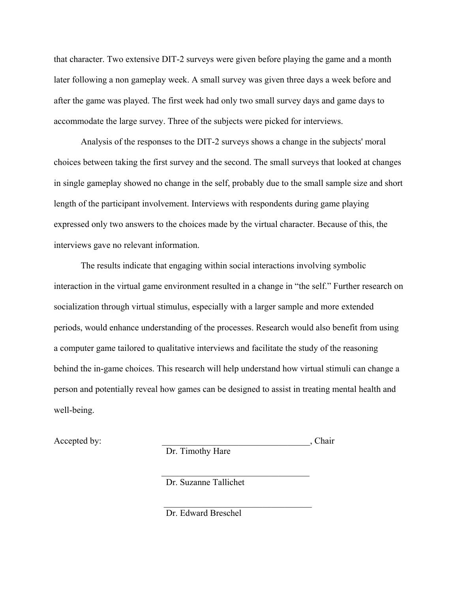that character. Two extensive DIT-2 surveys were given before playing the game and a month later following a non gameplay week. A small survey was given three days a week before and after the game was played. The first week had only two small survey days and game days to accommodate the large survey. Three of the subjects were picked for interviews.

 Analysis of the responses to the DIT-2 surveys shows a change in the subjects' moral choices between taking the first survey and the second. The small surveys that looked at changes in single gameplay showed no change in the self, probably due to the small sample size and short length of the participant involvement. Interviews with respondents during game playing expressed only two answers to the choices made by the virtual character. Because of this, the interviews gave no relevant information.

The results indicate that engaging within social interactions involving symbolic interaction in the virtual game environment resulted in a change in "the self." Further research on socialization through virtual stimulus, especially with a larger sample and more extended periods, would enhance understanding of the processes. Research would also benefit from using a computer game tailored to qualitative interviews and facilitate the study of the reasoning behind the in-game choices. This research will help understand how virtual stimuli can change a person and potentially reveal how games can be designed to assist in treating mental health and well-being.

Accepted by: the set of the set of the set of the set of the set of the set of the set of the set of the set of the set of the set of the set of the set of the set of the set of the set of the set of the set of the set of

Dr. Timothy Hare

 $\mathcal{L}_\text{max}$  , and the contract of the contract of the contract of the contract of the contract of the contract of

 $\mathcal{L}_\text{max}$  , which is a set of the set of the set of the set of the set of the set of the set of the set of the set of the set of the set of the set of the set of the set of the set of the set of the set of the set of

Dr. Suzanne Tallichet

Dr. Edward Breschel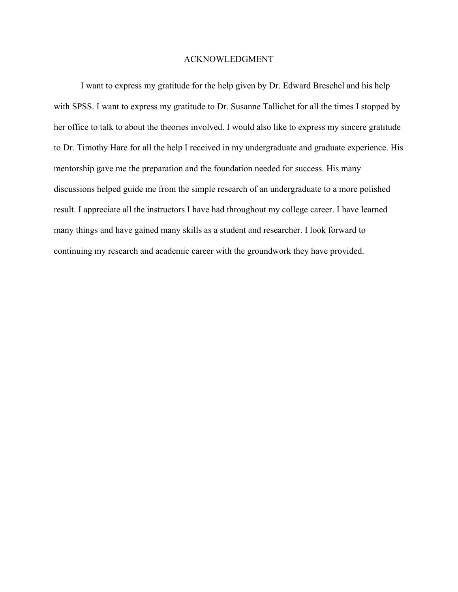## ACKNOWLEDGMENT

I want to express my gratitude for the help given by Dr. Edward Breschel and his help with SPSS. I want to express my gratitude to Dr. Susanne Tallichet for all the times I stopped by her office to talk to about the theories involved. I would also like to express my sincere gratitude to Dr. Timothy Hare for all the help I received in my undergraduate and graduate experience. His mentorship gave me the preparation and the foundation needed for success. His many discussions helped guide me from the simple research of an undergraduate to a more polished result. I appreciate all the instructors I have had throughout my college career. I have learned many things and have gained many skills as a student and researcher. I look forward to continuing my research and academic career with the groundwork they have provided.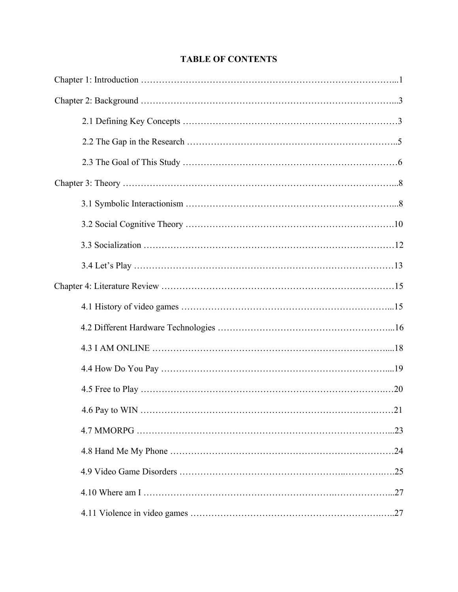# **TABLE OF CONTENTS**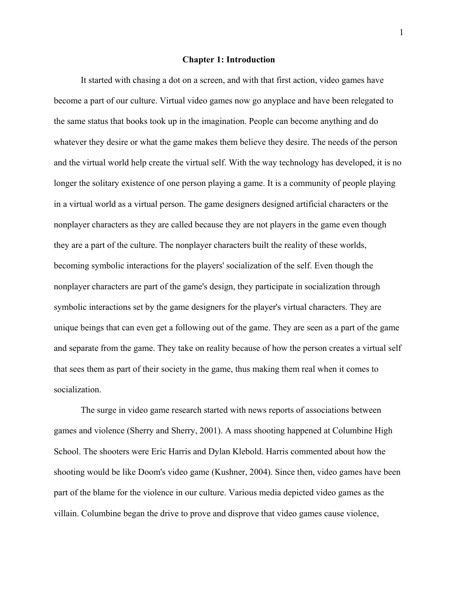#### **Chapter 1: Introduction**

 It started with chasing a dot on a screen, and with that first action, video games have become a part of our culture. Virtual video games now go anyplace and have been relegated to the same status that books took up in the imagination. People can become anything and do whatever they desire or what the game makes them believe they desire. The needs of the person and the virtual world help create the virtual self. With the way technology has developed, it is no longer the solitary existence of one person playing a game. It is a community of people playing in a virtual world as a virtual person. The game designers designed artificial characters or the nonplayer characters as they are called because they are not players in the game even though they are a part of the culture. The nonplayer characters built the reality of these worlds, becoming symbolic interactions for the players' socialization of the self. Even though the nonplayer characters are part of the game's design, they participate in socialization through symbolic interactions set by the game designers for the player's virtual characters. They are unique beings that can even get a following out of the game. They are seen as a part of the game and separate from the game. They take on reality because of how the person creates a virtual self that sees them as part of their society in the game, thus making them real when it comes to socialization.

 The surge in video game research started with news reports of associations between games and violence (Sherry and Sherry, 2001). A mass shooting happened at Columbine High School. The shooters were Eric Harris and Dylan Klebold. Harris commented about how the shooting would be like Doom's video game (Kushner, 2004). Since then, video games have been part of the blame for the violence in our culture. Various media depicted video games as the villain. Columbine began the drive to prove and disprove that video games cause violence,

1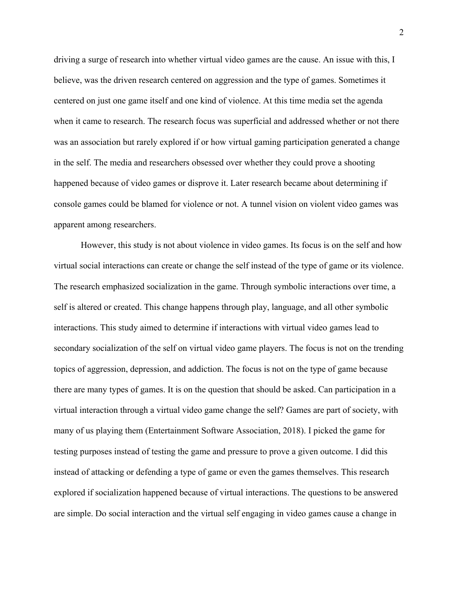driving a surge of research into whether virtual video games are the cause. An issue with this, I believe, was the driven research centered on aggression and the type of games. Sometimes it centered on just one game itself and one kind of violence. At this time media set the agenda when it came to research. The research focus was superficial and addressed whether or not there was an association but rarely explored if or how virtual gaming participation generated a change in the self. The media and researchers obsessed over whether they could prove a shooting happened because of video games or disprove it. Later research became about determining if console games could be blamed for violence or not. A tunnel vision on violent video games was apparent among researchers.

 However, this study is not about violence in video games. Its focus is on the self and how virtual social interactions can create or change the self instead of the type of game or its violence. The research emphasized socialization in the game. Through symbolic interactions over time, a self is altered or created. This change happens through play, language, and all other symbolic interactions. This study aimed to determine if interactions with virtual video games lead to secondary socialization of the self on virtual video game players. The focus is not on the trending topics of aggression, depression, and addiction. The focus is not on the type of game because there are many types of games. It is on the question that should be asked. Can participation in a virtual interaction through a virtual video game change the self? Games are part of society, with many of us playing them (Entertainment Software Association, 2018). I picked the game for testing purposes instead of testing the game and pressure to prove a given outcome. I did this instead of attacking or defending a type of game or even the games themselves. This research explored if socialization happened because of virtual interactions. The questions to be answered are simple. Do social interaction and the virtual self engaging in video games cause a change in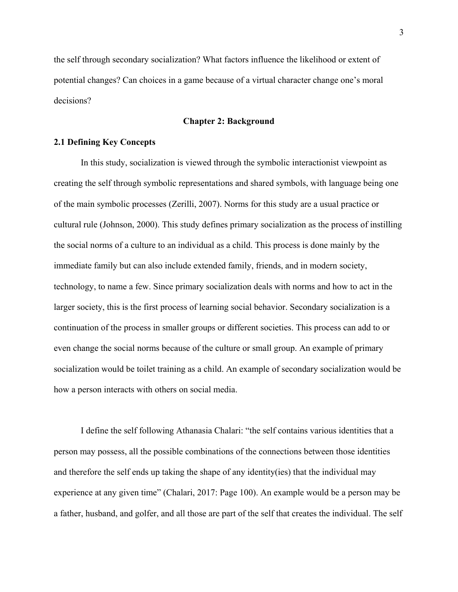the self through secondary socialization? What factors influence the likelihood or extent of potential changes? Can choices in a game because of a virtual character change one's moral decisions?

# **Chapter 2: Background**

# **2.1 Defining Key Concepts**

In this study, socialization is viewed through the symbolic interactionist viewpoint as creating the self through symbolic representations and shared symbols, with language being one of the main symbolic processes (Zerilli, 2007). Norms for this study are a usual practice or cultural rule (Johnson, 2000). This study defines primary socialization as the process of instilling the social norms of a culture to an individual as a child. This process is done mainly by the immediate family but can also include extended family, friends, and in modern society, technology, to name a few. Since primary socialization deals with norms and how to act in the larger society, this is the first process of learning social behavior. Secondary socialization is a continuation of the process in smaller groups or different societies. This process can add to or even change the social norms because of the culture or small group. An example of primary socialization would be toilet training as a child. An example of secondary socialization would be how a person interacts with others on social media.

I define the self following Athanasia Chalari: "the self contains various identities that a person may possess, all the possible combinations of the connections between those identities and therefore the self ends up taking the shape of any identity(ies) that the individual may experience at any given time" (Chalari, 2017: Page 100). An example would be a person may be a father, husband, and golfer, and all those are part of the self that creates the individual. The self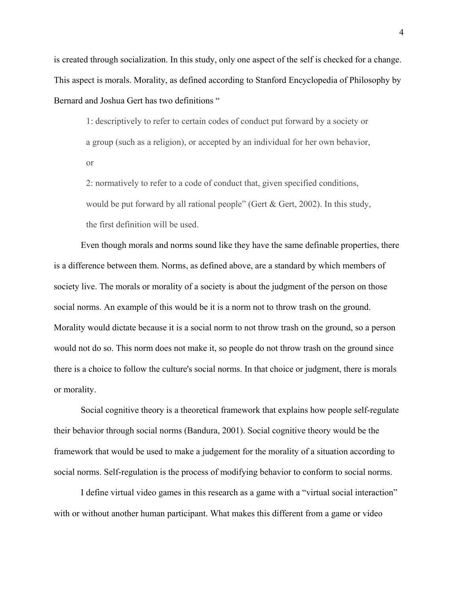is created through socialization. In this study, only one aspect of the self is checked for a change. This aspect is morals. Morality, as defined according to Stanford Encyclopedia of Philosophy by Bernard and Joshua Gert has two definitions "

1: descriptively to refer to certain codes of conduct put forward by a society or a group (such as a religion), or accepted by an individual for her own behavior, or

2: normatively to refer to a code of conduct that, given specified conditions, would be put forward by all rational people" (Gert & Gert, 2002). In this study, the first definition will be used.

 Even though morals and norms sound like they have the same definable properties, there is a difference between them. Norms, as defined above, are a standard by which members of society live. The morals or morality of a society is about the judgment of the person on those social norms. An example of this would be it is a norm not to throw trash on the ground. Morality would dictate because it is a social norm to not throw trash on the ground, so a person would not do so. This norm does not make it, so people do not throw trash on the ground since there is a choice to follow the culture's social norms. In that choice or judgment, there is morals or morality.

Social cognitive theory is a theoretical framework that explains how people self-regulate their behavior through social norms (Bandura, 2001). Social cognitive theory would be the framework that would be used to make a judgement for the morality of a situation according to social norms. Self-regulation is the process of modifying behavior to conform to social norms.

 I define virtual video games in this research as a game with a "virtual social interaction" with or without another human participant. What makes this different from a game or video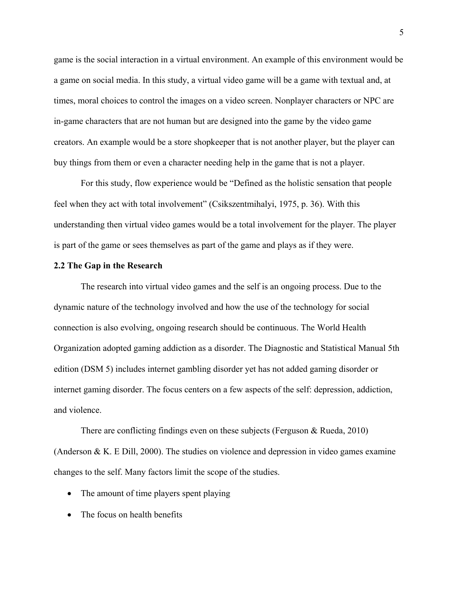game is the social interaction in a virtual environment. An example of this environment would be a game on social media. In this study, a virtual video game will be a game with textual and, at times, moral choices to control the images on a video screen. Nonplayer characters or NPC are in-game characters that are not human but are designed into the game by the video game creators. An example would be a store shopkeeper that is not another player, but the player can buy things from them or even a character needing help in the game that is not a player.

 For this study, flow experience would be "Defined as the holistic sensation that people feel when they act with total involvement" (Csikszentmihalyi, 1975, p. 36). With this understanding then virtual video games would be a total involvement for the player. The player is part of the game or sees themselves as part of the game and plays as if they were.

#### **2.2 The Gap in the Research**

 The research into virtual video games and the self is an ongoing process. Due to the dynamic nature of the technology involved and how the use of the technology for social connection is also evolving, ongoing research should be continuous. The World Health Organization adopted gaming addiction as a disorder. The Diagnostic and Statistical Manual 5th edition (DSM 5) includes internet gambling disorder yet has not added gaming disorder or internet gaming disorder. The focus centers on a few aspects of the self: depression, addiction, and violence.

There are conflicting findings even on these subjects (Ferguson & Rueda, 2010) (Anderson & K. E Dill, 2000). The studies on violence and depression in video games examine changes to the self. Many factors limit the scope of the studies.

- The amount of time players spent playing
- The focus on health benefits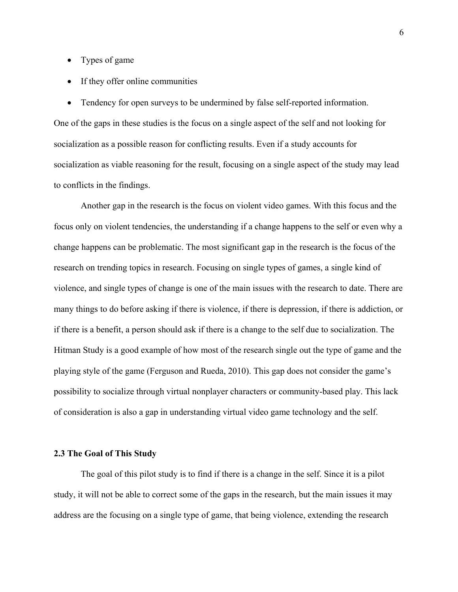- Types of game
- If they offer online communities
- Tendency for open surveys to be undermined by false self-reported information.

One of the gaps in these studies is the focus on a single aspect of the self and not looking for socialization as a possible reason for conflicting results. Even if a study accounts for socialization as viable reasoning for the result, focusing on a single aspect of the study may lead to conflicts in the findings.

Another gap in the research is the focus on violent video games. With this focus and the focus only on violent tendencies, the understanding if a change happens to the self or even why a change happens can be problematic. The most significant gap in the research is the focus of the research on trending topics in research. Focusing on single types of games, a single kind of violence, and single types of change is one of the main issues with the research to date. There are many things to do before asking if there is violence, if there is depression, if there is addiction, or if there is a benefit, a person should ask if there is a change to the self due to socialization. The Hitman Study is a good example of how most of the research single out the type of game and the playing style of the game (Ferguson and Rueda, 2010). This gap does not consider the game's possibility to socialize through virtual nonplayer characters or community-based play. This lack of consideration is also a gap in understanding virtual video game technology and the self.

# **2.3 The Goal of This Study**

The goal of this pilot study is to find if there is a change in the self. Since it is a pilot study, it will not be able to correct some of the gaps in the research, but the main issues it may address are the focusing on a single type of game, that being violence, extending the research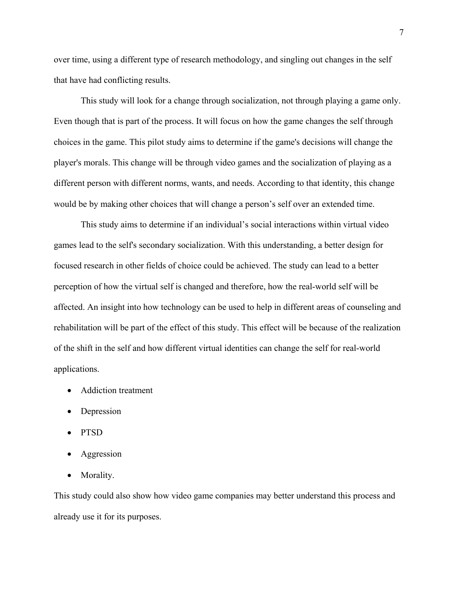over time, using a different type of research methodology, and singling out changes in the self that have had conflicting results.

This study will look for a change through socialization, not through playing a game only. Even though that is part of the process. It will focus on how the game changes the self through choices in the game. This pilot study aims to determine if the game's decisions will change the player's morals. This change will be through video games and the socialization of playing as a different person with different norms, wants, and needs. According to that identity, this change would be by making other choices that will change a person's self over an extended time.

This study aims to determine if an individual's social interactions within virtual video games lead to the self's secondary socialization. With this understanding, a better design for focused research in other fields of choice could be achieved. The study can lead to a better perception of how the virtual self is changed and therefore, how the real-world self will be affected. An insight into how technology can be used to help in different areas of counseling and rehabilitation will be part of the effect of this study. This effect will be because of the realization of the shift in the self and how different virtual identities can change the self for real-world applications.

- Addiction treatment
- Depression
- PTSD
- **Aggression**
- Morality.

This study could also show how video game companies may better understand this process and already use it for its purposes.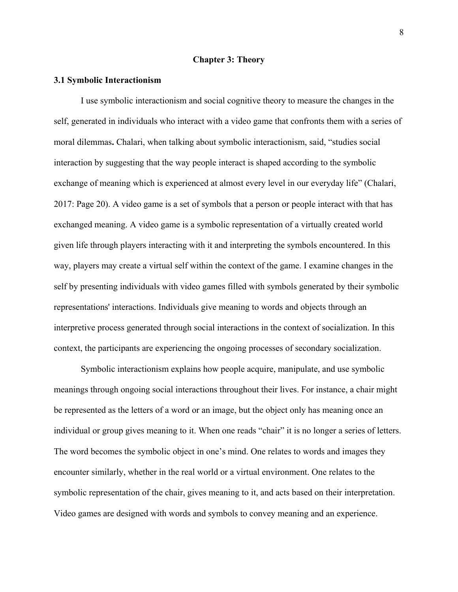#### **Chapter 3: Theory**

### **3.1 Symbolic Interactionism**

I use symbolic interactionism and social cognitive theory to measure the changes in the self, generated in individuals who interact with a video game that confronts them with a series of moral dilemmas**.** Chalari, when talking about symbolic interactionism, said, "studies social interaction by suggesting that the way people interact is shaped according to the symbolic exchange of meaning which is experienced at almost every level in our everyday life" (Chalari, 2017: Page 20). A video game is a set of symbols that a person or people interact with that has exchanged meaning. A video game is a symbolic representation of a virtually created world given life through players interacting with it and interpreting the symbols encountered. In this way, players may create a virtual self within the context of the game. I examine changes in the self by presenting individuals with video games filled with symbols generated by their symbolic representations' interactions. Individuals give meaning to words and objects through an interpretive process generated through social interactions in the context of socialization. In this context, the participants are experiencing the ongoing processes of secondary socialization.

Symbolic interactionism explains how people acquire, manipulate, and use symbolic meanings through ongoing social interactions throughout their lives. For instance, a chair might be represented as the letters of a word or an image, but the object only has meaning once an individual or group gives meaning to it. When one reads "chair" it is no longer a series of letters. The word becomes the symbolic object in one's mind. One relates to words and images they encounter similarly, whether in the real world or a virtual environment. One relates to the symbolic representation of the chair, gives meaning to it, and acts based on their interpretation. Video games are designed with words and symbols to convey meaning and an experience.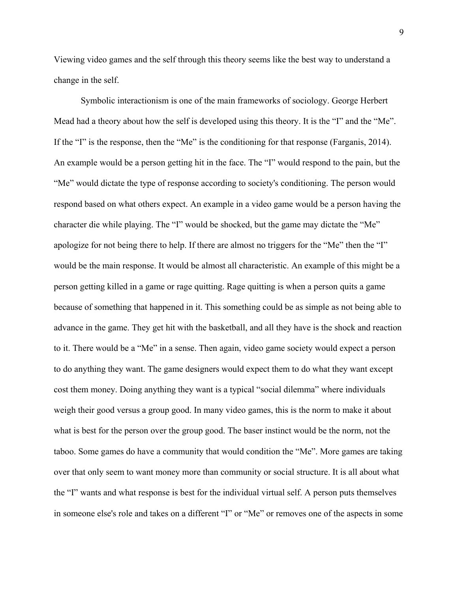Viewing video games and the self through this theory seems like the best way to understand a change in the self.

Symbolic interactionism is one of the main frameworks of sociology. George Herbert Mead had a theory about how the self is developed using this theory. It is the "I" and the "Me". If the "I" is the response, then the "Me" is the conditioning for that response (Farganis, 2014). An example would be a person getting hit in the face. The "I" would respond to the pain, but the "Me" would dictate the type of response according to society's conditioning. The person would respond based on what others expect. An example in a video game would be a person having the character die while playing. The "I" would be shocked, but the game may dictate the "Me" apologize for not being there to help. If there are almost no triggers for the "Me" then the "I" would be the main response. It would be almost all characteristic. An example of this might be a person getting killed in a game or rage quitting. Rage quitting is when a person quits a game because of something that happened in it. This something could be as simple as not being able to advance in the game. They get hit with the basketball, and all they have is the shock and reaction to it. There would be a "Me" in a sense. Then again, video game society would expect a person to do anything they want. The game designers would expect them to do what they want except cost them money. Doing anything they want is a typical "social dilemma" where individuals weigh their good versus a group good. In many video games, this is the norm to make it about what is best for the person over the group good. The baser instinct would be the norm, not the taboo. Some games do have a community that would condition the "Me". More games are taking over that only seem to want money more than community or social structure. It is all about what the "I" wants and what response is best for the individual virtual self. A person puts themselves in someone else's role and takes on a different "I" or "Me" or removes one of the aspects in some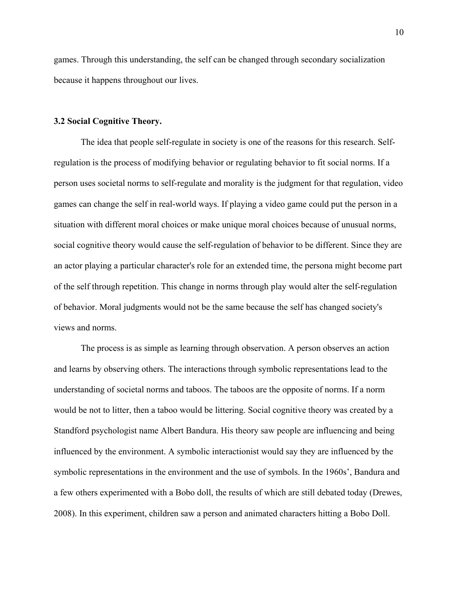games. Through this understanding, the self can be changed through secondary socialization because it happens throughout our lives.

## **3.2 Social Cognitive Theory.**

The idea that people self-regulate in society is one of the reasons for this research. Selfregulation is the process of modifying behavior or regulating behavior to fit social norms. If a person uses societal norms to self-regulate and morality is the judgment for that regulation, video games can change the self in real-world ways. If playing a video game could put the person in a situation with different moral choices or make unique moral choices because of unusual norms, social cognitive theory would cause the self-regulation of behavior to be different. Since they are an actor playing a particular character's role for an extended time, the persona might become part of the self through repetition. This change in norms through play would alter the self-regulation of behavior. Moral judgments would not be the same because the self has changed society's views and norms.

The process is as simple as learning through observation. A person observes an action and learns by observing others. The interactions through symbolic representations lead to the understanding of societal norms and taboos. The taboos are the opposite of norms. If a norm would be not to litter, then a taboo would be littering. Social cognitive theory was created by a Standford psychologist name Albert Bandura. His theory saw people are influencing and being influenced by the environment. A symbolic interactionist would say they are influenced by the symbolic representations in the environment and the use of symbols. In the 1960s', Bandura and a few others experimented with a Bobo doll, the results of which are still debated today (Drewes, 2008). In this experiment, children saw a person and animated characters hitting a Bobo Doll.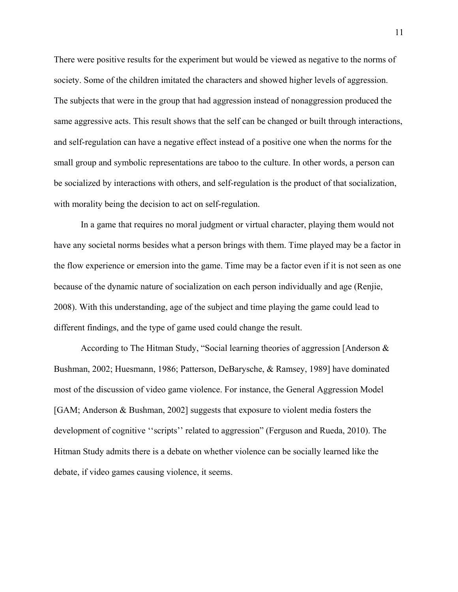There were positive results for the experiment but would be viewed as negative to the norms of society. Some of the children imitated the characters and showed higher levels of aggression. The subjects that were in the group that had aggression instead of nonaggression produced the same aggressive acts. This result shows that the self can be changed or built through interactions, and self-regulation can have a negative effect instead of a positive one when the norms for the small group and symbolic representations are taboo to the culture. In other words, a person can be socialized by interactions with others, and self-regulation is the product of that socialization, with morality being the decision to act on self-regulation.

 In a game that requires no moral judgment or virtual character, playing them would not have any societal norms besides what a person brings with them. Time played may be a factor in the flow experience or emersion into the game. Time may be a factor even if it is not seen as one because of the dynamic nature of socialization on each person individually and age (Renjie, 2008). With this understanding, age of the subject and time playing the game could lead to different findings, and the type of game used could change the result.

According to The Hitman Study, "Social learning theories of aggression [Anderson & Bushman, 2002; Huesmann, 1986; Patterson, DeBarysche, & Ramsey, 1989] have dominated most of the discussion of video game violence. For instance, the General Aggression Model [GAM; Anderson & Bushman, 2002] suggests that exposure to violent media fosters the development of cognitive ''scripts'' related to aggression" (Ferguson and Rueda, 2010). The Hitman Study admits there is a debate on whether violence can be socially learned like the debate, if video games causing violence, it seems.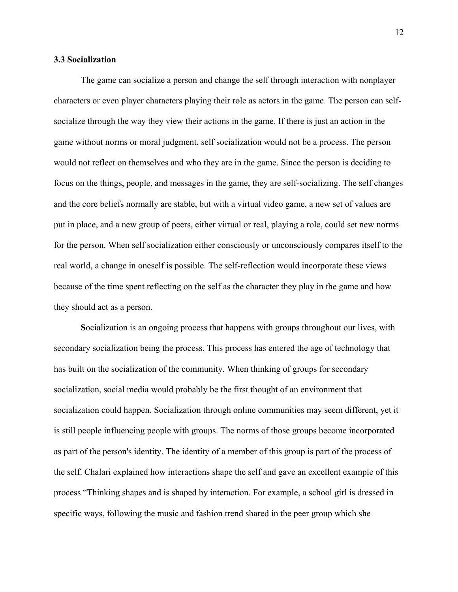## **3.3 Socialization**

The game can socialize a person and change the self through interaction with nonplayer characters or even player characters playing their role as actors in the game. The person can selfsocialize through the way they view their actions in the game. If there is just an action in the game without norms or moral judgment, self socialization would not be a process. The person would not reflect on themselves and who they are in the game. Since the person is deciding to focus on the things, people, and messages in the game, they are self-socializing. The self changes and the core beliefs normally are stable, but with a virtual video game, a new set of values are put in place, and a new group of peers, either virtual or real, playing a role, could set new norms for the person. When self socialization either consciously or unconsciously compares itself to the real world, a change in oneself is possible. The self-reflection would incorporate these views because of the time spent reflecting on the self as the character they play in the game and how they should act as a person.

 **S**ocialization is an ongoing process that happens with groups throughout our lives, with secondary socialization being the process. This process has entered the age of technology that has built on the socialization of the community. When thinking of groups for secondary socialization, social media would probably be the first thought of an environment that socialization could happen. Socialization through online communities may seem different, yet it is still people influencing people with groups. The norms of those groups become incorporated as part of the person's identity. The identity of a member of this group is part of the process of the self. Chalari explained how interactions shape the self and gave an excellent example of this process "Thinking shapes and is shaped by interaction. For example, a school girl is dressed in specific ways, following the music and fashion trend shared in the peer group which she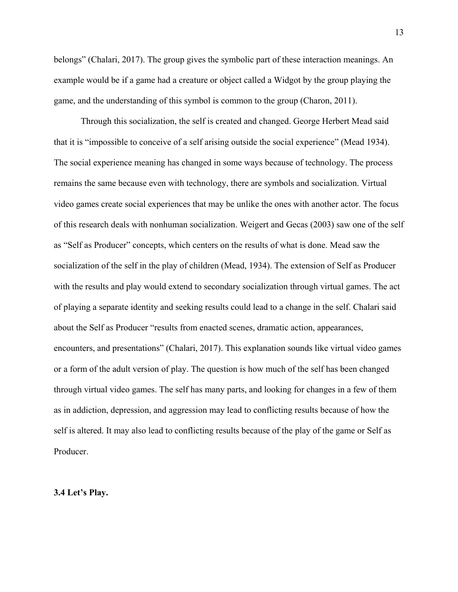belongs" (Chalari, 2017). The group gives the symbolic part of these interaction meanings. An example would be if a game had a creature or object called a Widgot by the group playing the game, and the understanding of this symbol is common to the group (Charon, 2011).

Through this socialization, the self is created and changed. George Herbert Mead said that it is "impossible to conceive of a self arising outside the social experience" (Mead 1934). The social experience meaning has changed in some ways because of technology. The process remains the same because even with technology, there are symbols and socialization. Virtual video games create social experiences that may be unlike the ones with another actor. The focus of this research deals with nonhuman socialization. Weigert and Gecas (2003) saw one of the self as "Self as Producer" concepts, which centers on the results of what is done. Mead saw the socialization of the self in the play of children (Mead, 1934). The extension of Self as Producer with the results and play would extend to secondary socialization through virtual games. The act of playing a separate identity and seeking results could lead to a change in the self. Chalari said about the Self as Producer "results from enacted scenes, dramatic action, appearances, encounters, and presentations" (Chalari, 2017). This explanation sounds like virtual video games or a form of the adult version of play. The question is how much of the self has been changed through virtual video games. The self has many parts, and looking for changes in a few of them as in addiction, depression, and aggression may lead to conflicting results because of how the self is altered. It may also lead to conflicting results because of the play of the game or Self as Producer.

**3.4 Let's Play.**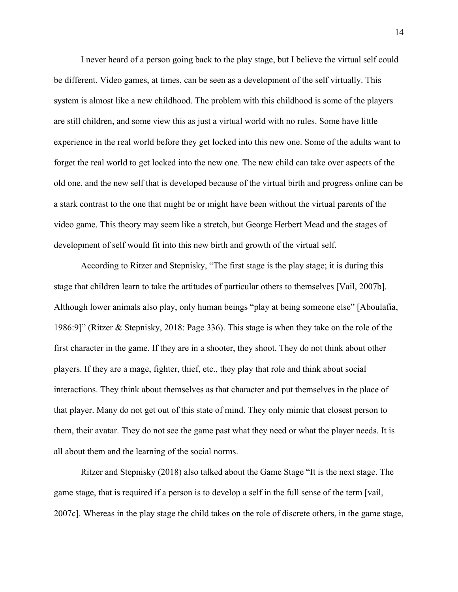I never heard of a person going back to the play stage, but I believe the virtual self could be different. Video games, at times, can be seen as a development of the self virtually. This system is almost like a new childhood. The problem with this childhood is some of the players are still children, and some view this as just a virtual world with no rules. Some have little experience in the real world before they get locked into this new one. Some of the adults want to forget the real world to get locked into the new one. The new child can take over aspects of the old one, and the new self that is developed because of the virtual birth and progress online can be a stark contrast to the one that might be or might have been without the virtual parents of the video game. This theory may seem like a stretch, but George Herbert Mead and the stages of development of self would fit into this new birth and growth of the virtual self.

 According to Ritzer and Stepnisky, "The first stage is the play stage; it is during this stage that children learn to take the attitudes of particular others to themselves [Vail, 2007b]. Although lower animals also play, only human beings "play at being someone else" [Aboulafia, 1986:9]" (Ritzer & Stepnisky, 2018: Page 336). This stage is when they take on the role of the first character in the game. If they are in a shooter, they shoot. They do not think about other players. If they are a mage, fighter, thief, etc., they play that role and think about social interactions. They think about themselves as that character and put themselves in the place of that player. Many do not get out of this state of mind. They only mimic that closest person to them, their avatar. They do not see the game past what they need or what the player needs. It is all about them and the learning of the social norms.

Ritzer and Stepnisky (2018) also talked about the Game Stage "It is the next stage. The game stage, that is required if a person is to develop a self in the full sense of the term [vail, 2007c]. Whereas in the play stage the child takes on the role of discrete others, in the game stage,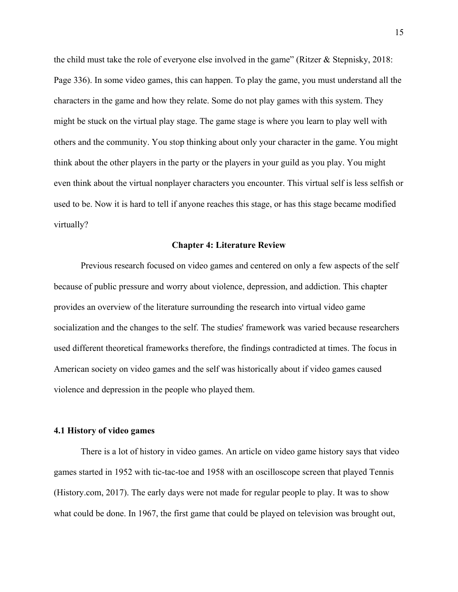the child must take the role of everyone else involved in the game" (Ritzer & Stepnisky, 2018: Page 336). In some video games, this can happen. To play the game, you must understand all the characters in the game and how they relate. Some do not play games with this system. They might be stuck on the virtual play stage. The game stage is where you learn to play well with others and the community. You stop thinking about only your character in the game. You might think about the other players in the party or the players in your guild as you play. You might even think about the virtual nonplayer characters you encounter. This virtual self is less selfish or used to be. Now it is hard to tell if anyone reaches this stage, or has this stage became modified virtually?

#### **Chapter 4: Literature Review**

Previous research focused on video games and centered on only a few aspects of the self because of public pressure and worry about violence, depression, and addiction. This chapter provides an overview of the literature surrounding the research into virtual video game socialization and the changes to the self. The studies' framework was varied because researchers used different theoretical frameworks therefore, the findings contradicted at times. The focus in American society on video games and the self was historically about if video games caused violence and depression in the people who played them.

## **4.1 History of video games**

There is a lot of history in video games. An article on video game history says that video games started in 1952 with tic-tac-toe and 1958 with an oscilloscope screen that played Tennis (History.com, 2017). The early days were not made for regular people to play. It was to show what could be done. In 1967, the first game that could be played on television was brought out,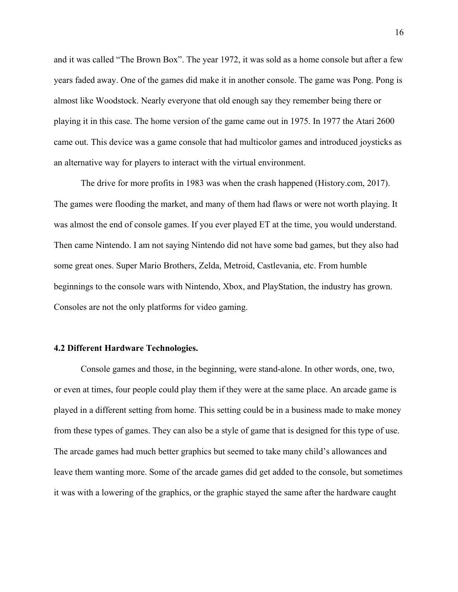and it was called "The Brown Box". The year 1972, it was sold as a home console but after a few years faded away. One of the games did make it in another console. The game was Pong. Pong is almost like Woodstock. Nearly everyone that old enough say they remember being there or playing it in this case. The home version of the game came out in 1975. In 1977 the Atari 2600 came out. This device was a game console that had multicolor games and introduced joysticks as an alternative way for players to interact with the virtual environment.

The drive for more profits in 1983 was when the crash happened (History.com, 2017). The games were flooding the market, and many of them had flaws or were not worth playing. It was almost the end of console games. If you ever played ET at the time, you would understand. Then came Nintendo. I am not saying Nintendo did not have some bad games, but they also had some great ones. Super Mario Brothers, Zelda, Metroid, Castlevania, etc. From humble beginnings to the console wars with Nintendo, Xbox, and PlayStation, the industry has grown. Consoles are not the only platforms for video gaming.

#### **4.2 Different Hardware Technologies.**

Console games and those, in the beginning, were stand-alone. In other words, one, two, or even at times, four people could play them if they were at the same place. An arcade game is played in a different setting from home. This setting could be in a business made to make money from these types of games. They can also be a style of game that is designed for this type of use. The arcade games had much better graphics but seemed to take many child's allowances and leave them wanting more. Some of the arcade games did get added to the console, but sometimes it was with a lowering of the graphics, or the graphic stayed the same after the hardware caught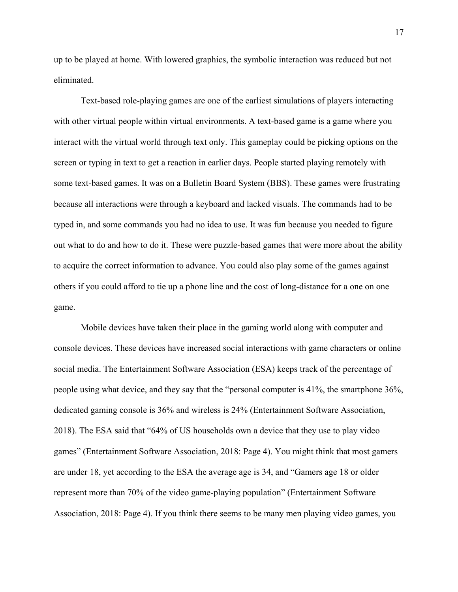up to be played at home. With lowered graphics, the symbolic interaction was reduced but not eliminated.

Text-based role-playing games are one of the earliest simulations of players interacting with other virtual people within virtual environments. A text-based game is a game where you interact with the virtual world through text only. This gameplay could be picking options on the screen or typing in text to get a reaction in earlier days. People started playing remotely with some text-based games. It was on a Bulletin Board System (BBS). These games were frustrating because all interactions were through a keyboard and lacked visuals. The commands had to be typed in, and some commands you had no idea to use. It was fun because you needed to figure out what to do and how to do it. These were puzzle-based games that were more about the ability to acquire the correct information to advance. You could also play some of the games against others if you could afford to tie up a phone line and the cost of long-distance for a one on one game.

Mobile devices have taken their place in the gaming world along with computer and console devices. These devices have increased social interactions with game characters or online social media. The Entertainment Software Association (ESA) keeps track of the percentage of people using what device, and they say that the "personal computer is 41%, the smartphone 36%, dedicated gaming console is 36% and wireless is 24% (Entertainment Software Association, 2018). The ESA said that "64% of US households own a device that they use to play video games" (Entertainment Software Association, 2018: Page 4). You might think that most gamers are under 18, yet according to the ESA the average age is 34, and "Gamers age 18 or older represent more than 70% of the video game-playing population" (Entertainment Software Association, 2018: Page 4). If you think there seems to be many men playing video games, you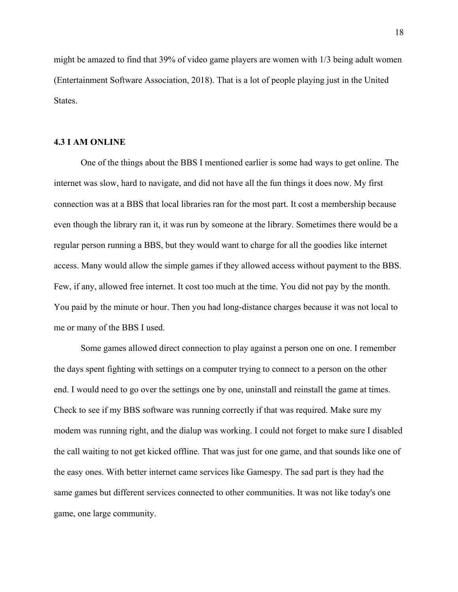might be amazed to find that 39% of video game players are women with 1/3 being adult women (Entertainment Software Association, 2018). That is a lot of people playing just in the United States.

## **4.3 I AM ONLINE**

 One of the things about the BBS I mentioned earlier is some had ways to get online. The internet was slow, hard to navigate, and did not have all the fun things it does now. My first connection was at a BBS that local libraries ran for the most part. It cost a membership because even though the library ran it, it was run by someone at the library. Sometimes there would be a regular person running a BBS, but they would want to charge for all the goodies like internet access. Many would allow the simple games if they allowed access without payment to the BBS. Few, if any, allowed free internet. It cost too much at the time. You did not pay by the month. You paid by the minute or hour. Then you had long-distance charges because it was not local to me or many of the BBS I used.

Some games allowed direct connection to play against a person one on one. I remember the days spent fighting with settings on a computer trying to connect to a person on the other end. I would need to go over the settings one by one, uninstall and reinstall the game at times. Check to see if my BBS software was running correctly if that was required. Make sure my modem was running right, and the dialup was working. I could not forget to make sure I disabled the call waiting to not get kicked offline. That was just for one game, and that sounds like one of the easy ones. With better internet came services like Gamespy. The sad part is they had the same games but different services connected to other communities. It was not like today's one game, one large community.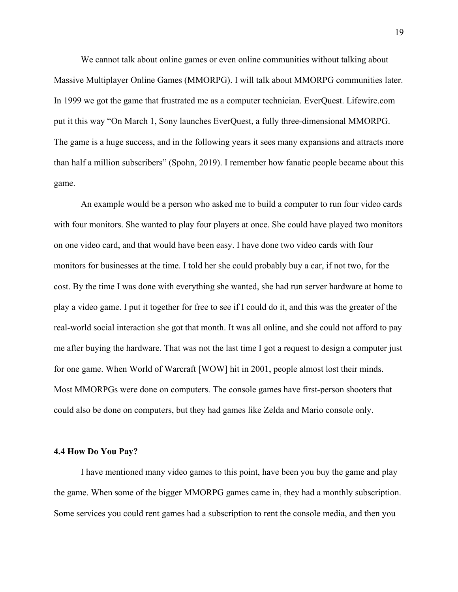We cannot talk about online games or even online communities without talking about Massive Multiplayer Online Games (MMORPG). I will talk about MMORPG communities later. In 1999 we got the game that frustrated me as a computer technician. EverQuest. Lifewire.com put it this way "On March 1, Sony launches EverQuest, a fully three-dimensional MMORPG. The game is a huge success, and in the following years it sees many expansions and attracts more than half a million subscribers" (Spohn, 2019). I remember how fanatic people became about this game.

An example would be a person who asked me to build a computer to run four video cards with four monitors. She wanted to play four players at once. She could have played two monitors on one video card, and that would have been easy. I have done two video cards with four monitors for businesses at the time. I told her she could probably buy a car, if not two, for the cost. By the time I was done with everything she wanted, she had run server hardware at home to play a video game. I put it together for free to see if I could do it, and this was the greater of the real-world social interaction she got that month. It was all online, and she could not afford to pay me after buying the hardware. That was not the last time I got a request to design a computer just for one game. When World of Warcraft [WOW] hit in 2001, people almost lost their minds. Most MMORPGs were done on computers. The console games have first-person shooters that could also be done on computers, but they had games like Zelda and Mario console only.

#### **4.4 How Do You Pay?**

 I have mentioned many video games to this point, have been you buy the game and play the game. When some of the bigger MMORPG games came in, they had a monthly subscription. Some services you could rent games had a subscription to rent the console media, and then you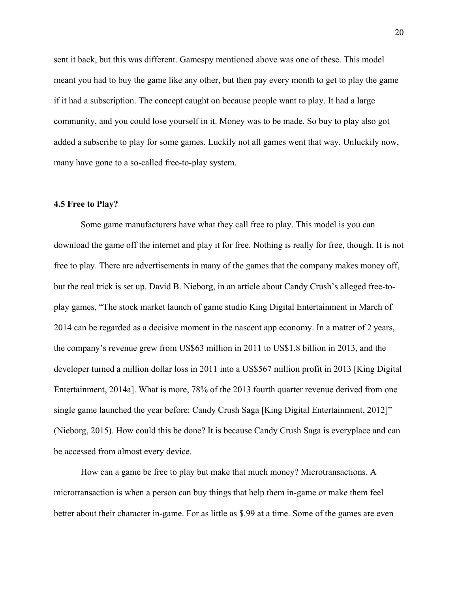sent it back, but this was different. Gamespy mentioned above was one of these. This model meant you had to buy the game like any other, but then pay every month to get to play the game if it had a subscription. The concept caught on because people want to play. It had a large community, and you could lose yourself in it. Money was to be made. So buy to play also got added a subscribe to play for some games. Luckily not all games went that way. Unluckily now, many have gone to a so-called free-to-play system.

## **4.5 Free to Play?**

Some game manufacturers have what they call free to play. This model is you can download the game off the internet and play it for free. Nothing is really for free, though. It is not free to play. There are advertisements in many of the games that the company makes money off, but the real trick is set up. David B. Nieborg, in an article about Candy Crush's alleged free-toplay games, "The stock market launch of game studio King Digital Entertainment in March of 2014 can be regarded as a decisive moment in the nascent app economy. In a matter of 2 years, the company's revenue grew from US\$63 million in 2011 to US\$1.8 billion in 2013, and the developer turned a million dollar loss in 2011 into a US\$567 million profit in 2013 [King Digital Entertainment, 2014a]. What is more, 78% of the 2013 fourth quarter revenue derived from one single game launched the year before: Candy Crush Saga [King Digital Entertainment, 2012]" (Nieborg, 2015). How could this be done? It is because Candy Crush Saga is everyplace and can be accessed from almost every device.

How can a game be free to play but make that much money? Microtransactions. A microtransaction is when a person can buy things that help them in-game or make them feel better about their character in-game. For as little as \$.99 at a time. Some of the games are even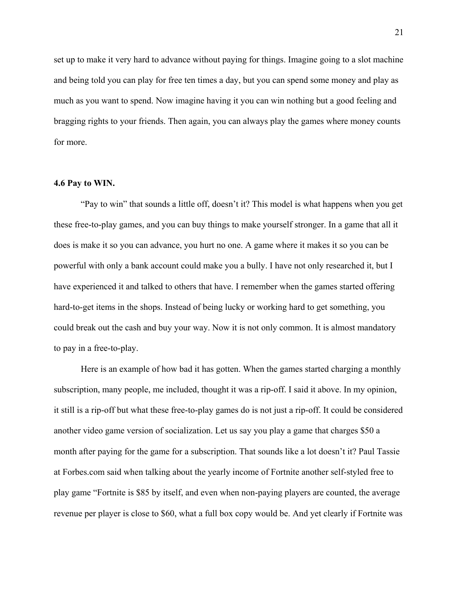set up to make it very hard to advance without paying for things. Imagine going to a slot machine and being told you can play for free ten times a day, but you can spend some money and play as much as you want to spend. Now imagine having it you can win nothing but a good feeling and bragging rights to your friends. Then again, you can always play the games where money counts for more.

#### **4.6 Pay to WIN.**

 "Pay to win" that sounds a little off, doesn't it? This model is what happens when you get these free-to-play games, and you can buy things to make yourself stronger. In a game that all it does is make it so you can advance, you hurt no one. A game where it makes it so you can be powerful with only a bank account could make you a bully. I have not only researched it, but I have experienced it and talked to others that have. I remember when the games started offering hard-to-get items in the shops. Instead of being lucky or working hard to get something, you could break out the cash and buy your way. Now it is not only common. It is almost mandatory to pay in a free-to-play.

 Here is an example of how bad it has gotten. When the games started charging a monthly subscription, many people, me included, thought it was a rip-off. I said it above. In my opinion, it still is a rip-off but what these free-to-play games do is not just a rip-off. It could be considered another video game version of socialization. Let us say you play a game that charges \$50 a month after paying for the game for a subscription. That sounds like a lot doesn't it? Paul Tassie at Forbes.com said when talking about the yearly income of Fortnite another self-styled free to play game "Fortnite is \$85 by itself, and even when non-paying players are counted, the average revenue per player is close to \$60, what a full box copy would be. And yet clearly if Fortnite was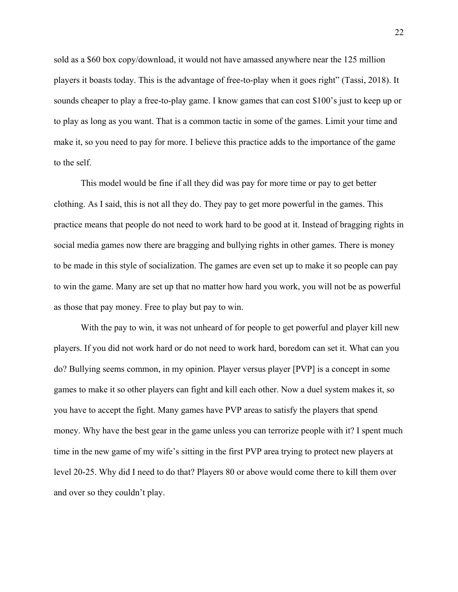sold as a \$60 box copy/download, it would not have amassed anywhere near the 125 million players it boasts today. This is the advantage of free-to-play when it goes right" (Tassi, 2018). It sounds cheaper to play a free-to-play game. I know games that can cost \$100's just to keep up or to play as long as you want. That is a common tactic in some of the games. Limit your time and make it, so you need to pay for more. I believe this practice adds to the importance of the game to the self.

 This model would be fine if all they did was pay for more time or pay to get better clothing. As I said, this is not all they do. They pay to get more powerful in the games. This practice means that people do not need to work hard to be good at it. Instead of bragging rights in social media games now there are bragging and bullying rights in other games. There is money to be made in this style of socialization. The games are even set up to make it so people can pay to win the game. Many are set up that no matter how hard you work, you will not be as powerful as those that pay money. Free to play but pay to win.

With the pay to win, it was not unheard of for people to get powerful and player kill new players. If you did not work hard or do not need to work hard, boredom can set it. What can you do? Bullying seems common, in my opinion. Player versus player [PVP] is a concept in some games to make it so other players can fight and kill each other. Now a duel system makes it, so you have to accept the fight. Many games have PVP areas to satisfy the players that spend money. Why have the best gear in the game unless you can terrorize people with it? I spent much time in the new game of my wife's sitting in the first PVP area trying to protect new players at level 20-25. Why did I need to do that? Players 80 or above would come there to kill them over and over so they couldn't play.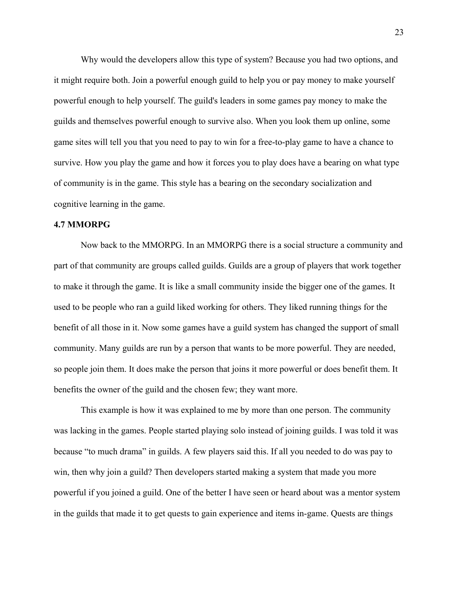Why would the developers allow this type of system? Because you had two options, and it might require both. Join a powerful enough guild to help you or pay money to make yourself powerful enough to help yourself. The guild's leaders in some games pay money to make the guilds and themselves powerful enough to survive also. When you look them up online, some game sites will tell you that you need to pay to win for a free-to-play game to have a chance to survive. How you play the game and how it forces you to play does have a bearing on what type of community is in the game. This style has a bearing on the secondary socialization and cognitive learning in the game.

## **4.7 MMORPG**

Now back to the MMORPG. In an MMORPG there is a social structure a community and part of that community are groups called guilds. Guilds are a group of players that work together to make it through the game. It is like a small community inside the bigger one of the games. It used to be people who ran a guild liked working for others. They liked running things for the benefit of all those in it. Now some games have a guild system has changed the support of small community. Many guilds are run by a person that wants to be more powerful. They are needed, so people join them. It does make the person that joins it more powerful or does benefit them. It benefits the owner of the guild and the chosen few; they want more.

 This example is how it was explained to me by more than one person. The community was lacking in the games. People started playing solo instead of joining guilds. I was told it was because "to much drama" in guilds. A few players said this. If all you needed to do was pay to win, then why join a guild? Then developers started making a system that made you more powerful if you joined a guild. One of the better I have seen or heard about was a mentor system in the guilds that made it to get quests to gain experience and items in-game. Quests are things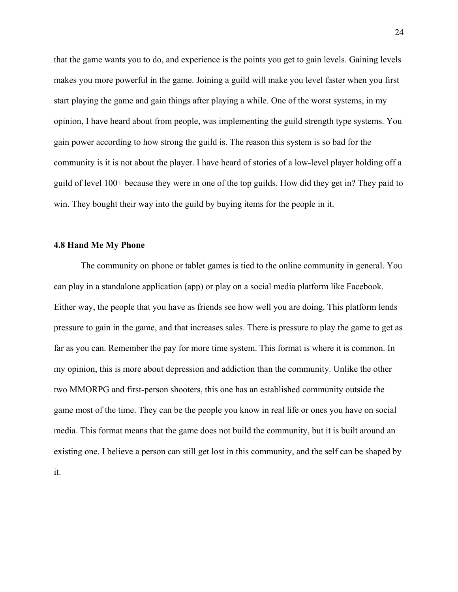that the game wants you to do, and experience is the points you get to gain levels. Gaining levels makes you more powerful in the game. Joining a guild will make you level faster when you first start playing the game and gain things after playing a while. One of the worst systems, in my opinion, I have heard about from people, was implementing the guild strength type systems. You gain power according to how strong the guild is. The reason this system is so bad for the community is it is not about the player. I have heard of stories of a low-level player holding off a guild of level 100+ because they were in one of the top guilds. How did they get in? They paid to win. They bought their way into the guild by buying items for the people in it.

#### **4.8 Hand Me My Phone**

 The community on phone or tablet games is tied to the online community in general. You can play in a standalone application (app) or play on a social media platform like Facebook. Either way, the people that you have as friends see how well you are doing. This platform lends pressure to gain in the game, and that increases sales. There is pressure to play the game to get as far as you can. Remember the pay for more time system. This format is where it is common. In my opinion, this is more about depression and addiction than the community. Unlike the other two MMORPG and first-person shooters, this one has an established community outside the game most of the time. They can be the people you know in real life or ones you have on social media. This format means that the game does not build the community, but it is built around an existing one. I believe a person can still get lost in this community, and the self can be shaped by it.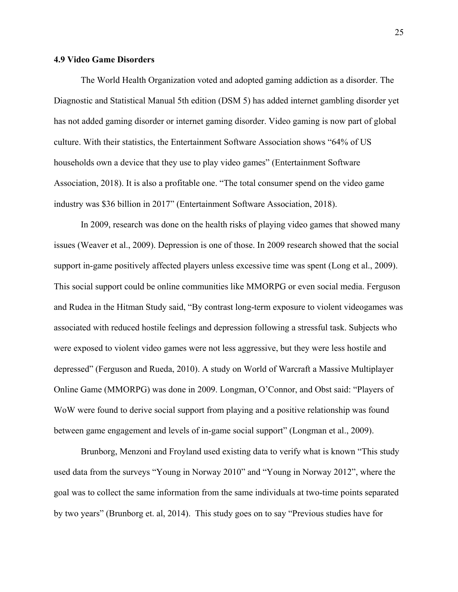## **4.9 Video Game Disorders**

The World Health Organization voted and adopted gaming addiction as a disorder. The Diagnostic and Statistical Manual 5th edition (DSM 5) has added internet gambling disorder yet has not added gaming disorder or internet gaming disorder. Video gaming is now part of global culture. With their statistics, the Entertainment Software Association shows "64% of US households own a device that they use to play video games" (Entertainment Software Association, 2018). It is also a profitable one. "The total consumer spend on the video game industry was \$36 billion in 2017" (Entertainment Software Association, 2018).

In 2009, research was done on the health risks of playing video games that showed many issues (Weaver et al., 2009). Depression is one of those. In 2009 research showed that the social support in-game positively affected players unless excessive time was spent (Long et al., 2009). This social support could be online communities like MMORPG or even social media. Ferguson and Rudea in the Hitman Study said, "By contrast long-term exposure to violent videogames was associated with reduced hostile feelings and depression following a stressful task. Subjects who were exposed to violent video games were not less aggressive, but they were less hostile and depressed" (Ferguson and Rueda, 2010). A study on World of Warcraft a Massive Multiplayer Online Game (MMORPG) was done in 2009. Longman, O'Connor, and Obst said: "Players of WoW were found to derive social support from playing and a positive relationship was found between game engagement and levels of in-game social support" (Longman et al., 2009).

Brunborg, Menzoni and Froyland used existing data to verify what is known "This study used data from the surveys "Young in Norway 2010" and "Young in Norway 2012", where the goal was to collect the same information from the same individuals at two-time points separated by two years" (Brunborg et. al, 2014). This study goes on to say "Previous studies have for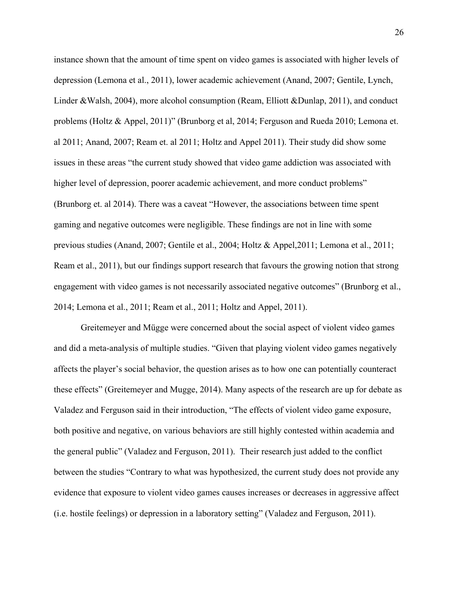instance shown that the amount of time spent on video games is associated with higher levels of depression (Lemona et al., 2011), lower academic achievement (Anand, 2007; Gentile, Lynch, Linder &Walsh, 2004), more alcohol consumption (Ream, Elliott &Dunlap, 2011), and conduct problems (Holtz & Appel, 2011)" (Brunborg et al, 2014; Ferguson and Rueda 2010; Lemona et. al 2011; Anand, 2007; Ream et. al 2011; Holtz and Appel 2011). Their study did show some issues in these areas "the current study showed that video game addiction was associated with higher level of depression, poorer academic achievement, and more conduct problems" (Brunborg et. al 2014). There was a caveat "However, the associations between time spent gaming and negative outcomes were negligible. These findings are not in line with some previous studies (Anand, 2007; Gentile et al., 2004; Holtz & Appel,2011; Lemona et al., 2011; Ream et al., 2011), but our findings support research that favours the growing notion that strong engagement with video games is not necessarily associated negative outcomes" (Brunborg et al., 2014; Lemona et al., 2011; Ream et al., 2011; Holtz and Appel, 2011).

Greitemeyer and Mügge were concerned about the social aspect of violent video games and did a meta-analysis of multiple studies. "Given that playing violent video games negatively affects the player's social behavior, the question arises as to how one can potentially counteract these effects" (Greitemeyer and Mugge, 2014). Many aspects of the research are up for debate as Valadez and Ferguson said in their introduction, "The effects of violent video game exposure, both positive and negative, on various behaviors are still highly contested within academia and the general public" (Valadez and Ferguson, 2011). Their research just added to the conflict between the studies "Contrary to what was hypothesized, the current study does not provide any evidence that exposure to violent video games causes increases or decreases in aggressive affect (i.e. hostile feelings) or depression in a laboratory setting" (Valadez and Ferguson, 2011).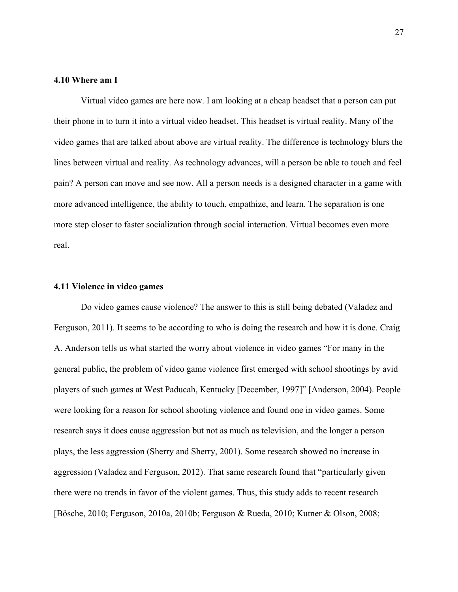## **4.10 Where am I**

Virtual video games are here now. I am looking at a cheap headset that a person can put their phone in to turn it into a virtual video headset. This headset is virtual reality. Many of the video games that are talked about above are virtual reality. The difference is technology blurs the lines between virtual and reality. As technology advances, will a person be able to touch and feel pain? A person can move and see now. All a person needs is a designed character in a game with more advanced intelligence, the ability to touch, empathize, and learn. The separation is one more step closer to faster socialization through social interaction. Virtual becomes even more real.

#### **4.11 Violence in video games**

Do video games cause violence? The answer to this is still being debated (Valadez and Ferguson, 2011). It seems to be according to who is doing the research and how it is done. Craig A. Anderson tells us what started the worry about violence in video games "For many in the general public, the problem of video game violence first emerged with school shootings by avid players of such games at West Paducah, Kentucky [December, 1997]" [Anderson, 2004). People were looking for a reason for school shooting violence and found one in video games. Some research says it does cause aggression but not as much as television, and the longer a person plays, the less aggression (Sherry and Sherry, 2001). Some research showed no increase in aggression (Valadez and Ferguson, 2012). That same research found that "particularly given there were no trends in favor of the violent games. Thus, this study adds to recent research [Bösche, 2010; Ferguson, 2010a, 2010b; Ferguson & Rueda, 2010; Kutner & Olson, 2008;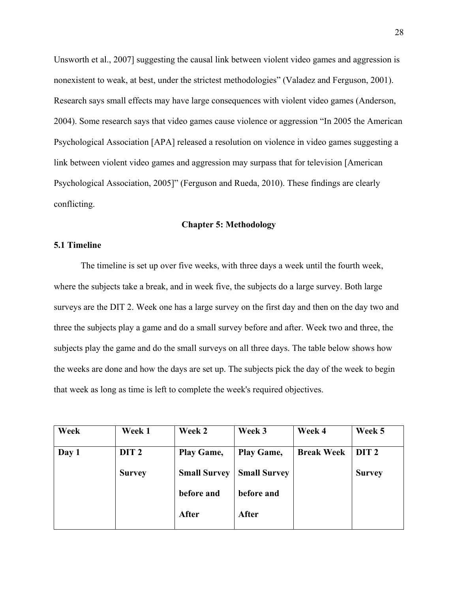Unsworth et al., 2007] suggesting the causal link between violent video games and aggression is nonexistent to weak, at best, under the strictest methodologies" (Valadez and Ferguson, 2001). Research says small effects may have large consequences with violent video games (Anderson, 2004). Some research says that video games cause violence or aggression "In 2005 the American Psychological Association [APA] released a resolution on violence in video games suggesting a link between violent video games and aggression may surpass that for television [American Psychological Association, 2005]" (Ferguson and Rueda, 2010). These findings are clearly conflicting.

#### **Chapter 5: Methodology**

# **5.1 Timeline**

The timeline is set up over five weeks, with three days a week until the fourth week, where the subjects take a break, and in week five, the subjects do a large survey. Both large surveys are the DIT 2. Week one has a large survey on the first day and then on the day two and three the subjects play a game and do a small survey before and after. Week two and three, the subjects play the game and do the small surveys on all three days. The table below shows how the weeks are done and how the days are set up. The subjects pick the day of the week to begin that week as long as time is left to complete the week's required objectives.

| Week  | Week 1           | Week 2              | Week 3              | Week 4            | Week 5           |
|-------|------------------|---------------------|---------------------|-------------------|------------------|
| Day 1 | DIT <sub>2</sub> | Play Game,          | Play Game,          | <b>Break Week</b> | DIT <sub>2</sub> |
|       | <b>Survey</b>    | <b>Small Survey</b> | <b>Small Survey</b> |                   | <b>Survey</b>    |
|       |                  | before and          | before and          |                   |                  |
|       |                  | After               | After               |                   |                  |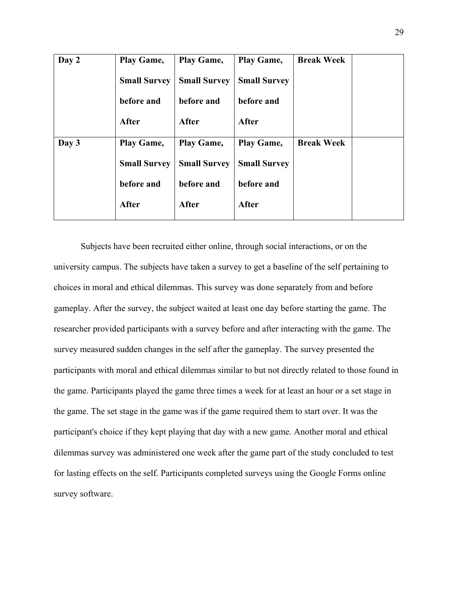| Day 2 | Play Game,          | Play Game,          | Play Game,          | <b>Break Week</b> |  |
|-------|---------------------|---------------------|---------------------|-------------------|--|
|       | <b>Small Survey</b> | <b>Small Survey</b> | <b>Small Survey</b> |                   |  |
|       | before and          | before and          | before and          |                   |  |
|       | After               | After               | <b>After</b>        |                   |  |
| Day 3 | Play Game,          | Play Game,          | Play Game,          | <b>Break Week</b> |  |
|       | <b>Small Survey</b> | <b>Small Survey</b> | <b>Small Survey</b> |                   |  |
|       | before and          | before and          | before and          |                   |  |
|       | After               | After               | After               |                   |  |

Subjects have been recruited either online, through social interactions, or on the university campus. The subjects have taken a survey to get a baseline of the self pertaining to choices in moral and ethical dilemmas. This survey was done separately from and before gameplay. After the survey, the subject waited at least one day before starting the game. The researcher provided participants with a survey before and after interacting with the game. The survey measured sudden changes in the self after the gameplay. The survey presented the participants with moral and ethical dilemmas similar to but not directly related to those found in the game. Participants played the game three times a week for at least an hour or a set stage in the game. The set stage in the game was if the game required them to start over. It was the participant's choice if they kept playing that day with a new game. Another moral and ethical dilemmas survey was administered one week after the game part of the study concluded to test for lasting effects on the self. Participants completed surveys using the Google Forms online survey software.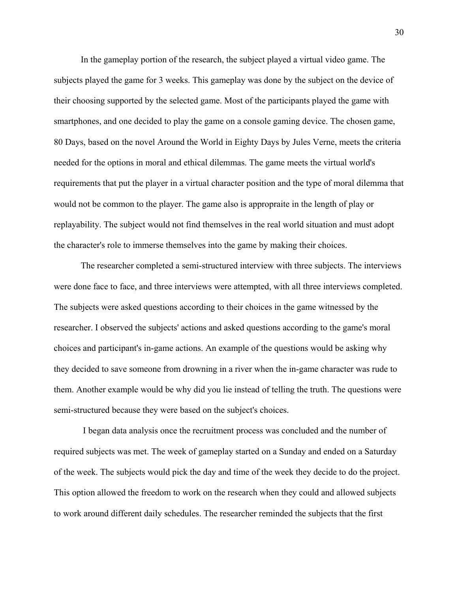In the gameplay portion of the research, the subject played a virtual video game. The subjects played the game for 3 weeks. This gameplay was done by the subject on the device of their choosing supported by the selected game. Most of the participants played the game with smartphones, and one decided to play the game on a console gaming device. The chosen game, 80 Days, based on the novel Around the World in Eighty Days by Jules Verne, meets the criteria needed for the options in moral and ethical dilemmas. The game meets the virtual world's requirements that put the player in a virtual character position and the type of moral dilemma that would not be common to the player. The game also is appropraite in the length of play or replayability. The subject would not find themselves in the real world situation and must adopt the character's role to immerse themselves into the game by making their choices.

The researcher completed a semi-structured interview with three subjects. The interviews were done face to face, and three interviews were attempted, with all three interviews completed. The subjects were asked questions according to their choices in the game witnessed by the researcher. I observed the subjects' actions and asked questions according to the game's moral choices and participant's in-game actions. An example of the questions would be asking why they decided to save someone from drowning in a river when the in-game character was rude to them. Another example would be why did you lie instead of telling the truth. The questions were semi-structured because they were based on the subject's choices.

I began data analysis once the recruitment process was concluded and the number of required subjects was met. The week of gameplay started on a Sunday and ended on a Saturday of the week. The subjects would pick the day and time of the week they decide to do the project. This option allowed the freedom to work on the research when they could and allowed subjects to work around different daily schedules. The researcher reminded the subjects that the first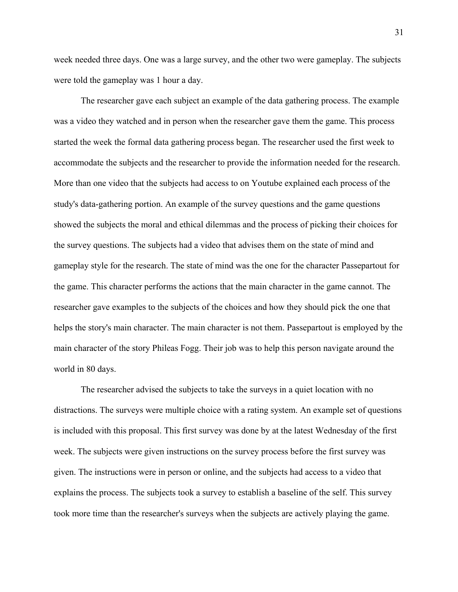week needed three days. One was a large survey, and the other two were gameplay. The subjects were told the gameplay was 1 hour a day.

The researcher gave each subject an example of the data gathering process. The example was a video they watched and in person when the researcher gave them the game. This process started the week the formal data gathering process began. The researcher used the first week to accommodate the subjects and the researcher to provide the information needed for the research. More than one video that the subjects had access to on Youtube explained each process of the study's data-gathering portion. An example of the survey questions and the game questions showed the subjects the moral and ethical dilemmas and the process of picking their choices for the survey questions. The subjects had a video that advises them on the state of mind and gameplay style for the research. The state of mind was the one for the character Passepartout for the game. This character performs the actions that the main character in the game cannot. The researcher gave examples to the subjects of the choices and how they should pick the one that helps the story's main character. The main character is not them. Passepartout is employed by the main character of the story Phileas Fogg. Their job was to help this person navigate around the world in 80 days.

The researcher advised the subjects to take the surveys in a quiet location with no distractions. The surveys were multiple choice with a rating system. An example set of questions is included with this proposal. This first survey was done by at the latest Wednesday of the first week. The subjects were given instructions on the survey process before the first survey was given. The instructions were in person or online, and the subjects had access to a video that explains the process. The subjects took a survey to establish a baseline of the self. This survey took more time than the researcher's surveys when the subjects are actively playing the game.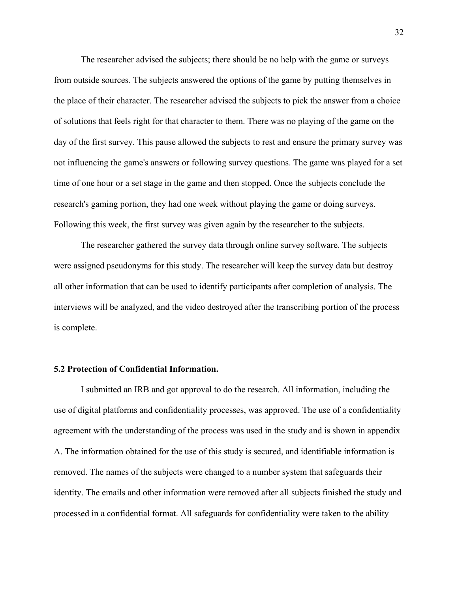The researcher advised the subjects; there should be no help with the game or surveys from outside sources. The subjects answered the options of the game by putting themselves in the place of their character. The researcher advised the subjects to pick the answer from a choice of solutions that feels right for that character to them. There was no playing of the game on the day of the first survey. This pause allowed the subjects to rest and ensure the primary survey was not influencing the game's answers or following survey questions. The game was played for a set time of one hour or a set stage in the game and then stopped. Once the subjects conclude the research's gaming portion, they had one week without playing the game or doing surveys. Following this week, the first survey was given again by the researcher to the subjects.

The researcher gathered the survey data through online survey software. The subjects were assigned pseudonyms for this study. The researcher will keep the survey data but destroy all other information that can be used to identify participants after completion of analysis. The interviews will be analyzed, and the video destroyed after the transcribing portion of the process is complete.

#### **5.2 Protection of Confidential Information.**

I submitted an IRB and got approval to do the research. All information, including the use of digital platforms and confidentiality processes, was approved. The use of a confidentiality agreement with the understanding of the process was used in the study and is shown in appendix A. The information obtained for the use of this study is secured, and identifiable information is removed. The names of the subjects were changed to a number system that safeguards their identity. The emails and other information were removed after all subjects finished the study and processed in a confidential format. All safeguards for confidentiality were taken to the ability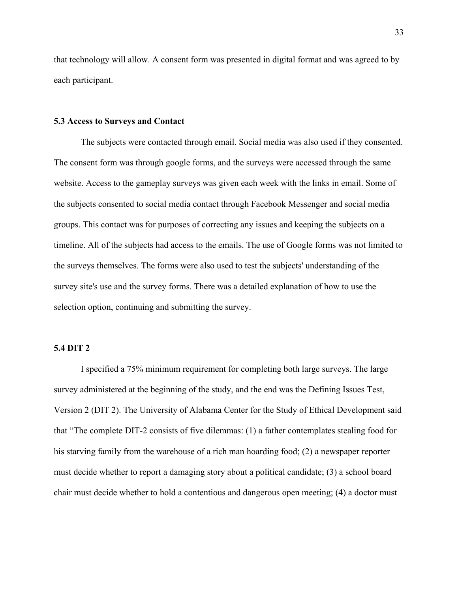that technology will allow. A consent form was presented in digital format and was agreed to by each participant.

#### **5.3 Access to Surveys and Contact**

The subjects were contacted through email. Social media was also used if they consented. The consent form was through google forms, and the surveys were accessed through the same website. Access to the gameplay surveys was given each week with the links in email. Some of the subjects consented to social media contact through Facebook Messenger and social media groups. This contact was for purposes of correcting any issues and keeping the subjects on a timeline. All of the subjects had access to the emails. The use of Google forms was not limited to the surveys themselves. The forms were also used to test the subjects' understanding of the survey site's use and the survey forms. There was a detailed explanation of how to use the selection option, continuing and submitting the survey.

#### **5.4 DIT 2**

I specified a 75% minimum requirement for completing both large surveys. The large survey administered at the beginning of the study, and the end was the Defining Issues Test, Version 2 (DIT 2). The University of Alabama Center for the Study of Ethical Development said that "The complete DIT-2 consists of five dilemmas: (1) a father contemplates stealing food for his starving family from the warehouse of a rich man hoarding food; (2) a newspaper reporter must decide whether to report a damaging story about a political candidate; (3) a school board chair must decide whether to hold a contentious and dangerous open meeting; (4) a doctor must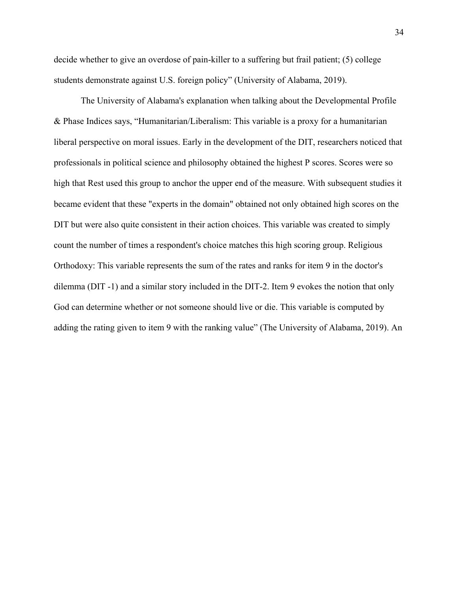decide whether to give an overdose of pain-killer to a suffering but frail patient; (5) college students demonstrate against U.S. foreign policy" (University of Alabama, 2019).

 The University of Alabama's explanation when talking about the Developmental Profile & Phase Indices says, "Humanitarian/Liberalism: This variable is a proxy for a humanitarian liberal perspective on moral issues. Early in the development of the DIT, researchers noticed that professionals in political science and philosophy obtained the highest P scores. Scores were so high that Rest used this group to anchor the upper end of the measure. With subsequent studies it became evident that these "experts in the domain" obtained not only obtained high scores on the DIT but were also quite consistent in their action choices. This variable was created to simply count the number of times a respondent's choice matches this high scoring group. Religious Orthodoxy: This variable represents the sum of the rates and ranks for item 9 in the doctor's dilemma (DIT -1) and a similar story included in the DIT-2. Item 9 evokes the notion that only God can determine whether or not someone should live or die. This variable is computed by adding the rating given to item 9 with the ranking value" (The University of Alabama, 2019). An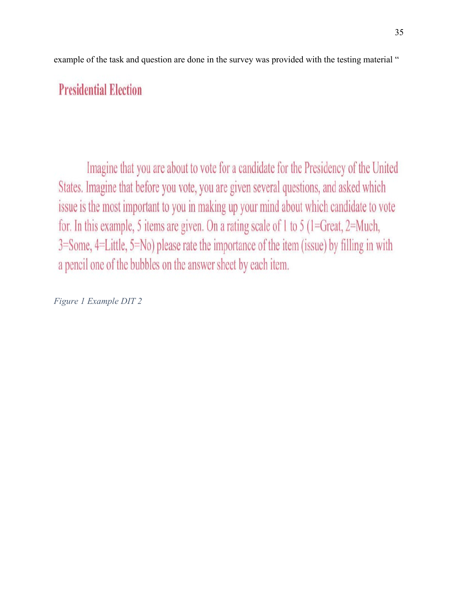example of the task and question are done in the survey was provided with the testing material "

# **Presidential Election**

Imagine that you are about to vote for a candidate for the Presidency of the United States. Imagine that before you vote, you are given several questions, and asked which issue is the most important to you in making up your mind about which candidate to vote for. In this example, 5 items are given. On a rating scale of 1 to 5 (1=Great, 2=Much,  $3 = Some, 4 = Little, 5 = No) please rate the importance of the item (issue) by filling in with$ a pencil one of the bubbles on the answer sheet by each item.

*Figure 1 Example DIT 2*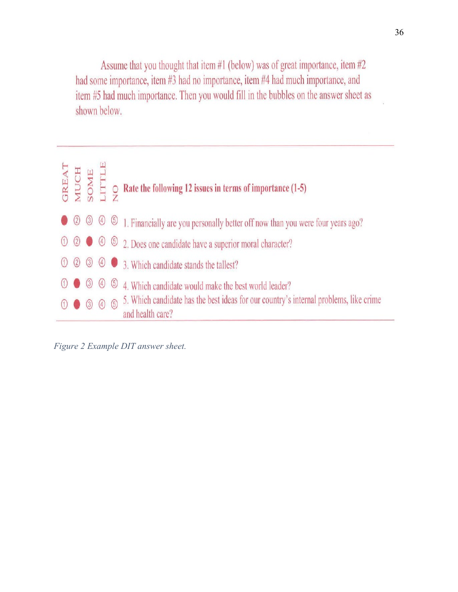Assume that you thought that item  $#1$  (below) was of great importance, item  $#2$ had some importance, item #3 had no importance, item #4 had much importance, and item #5 had much importance. Then you would fill in the bubbles on the answer sheet as shown below.



*Figure 2 Example DIT answer sheet.*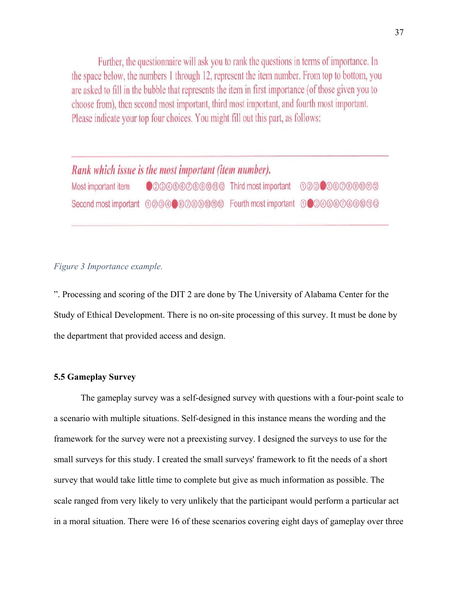Further, the questionnaire will ask you to rank the questions in terms of importance. In the space below, the numbers 1 through 12, represent the item number. From top to bottom, you are asked to fill in the bubble that represents the item in first importance (of those given you to choose from), then second most important, third most important, and fourth most important. Please indicate your top four choices. You might fill out this part, as follows:

## Rank which issue is the most important (item number). ©00000000000 Third most important 000000000000 Most important item

#### *Figure 3 Importance example.*

". Processing and scoring of the DIT 2 are done by The University of Alabama Center for the Study of Ethical Development. There is no on-site processing of this survey. It must be done by the department that provided access and design.

#### **5.5 Gameplay Survey**

The gameplay survey was a self-designed survey with questions with a four-point scale to a scenario with multiple situations. Self-designed in this instance means the wording and the framework for the survey were not a preexisting survey. I designed the surveys to use for the small surveys for this study. I created the small surveys' framework to fit the needs of a short survey that would take little time to complete but give as much information as possible. The scale ranged from very likely to very unlikely that the participant would perform a particular act in a moral situation. There were 16 of these scenarios covering eight days of gameplay over three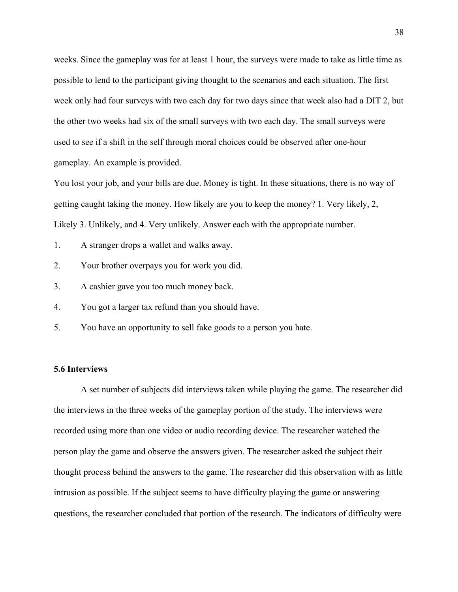weeks. Since the gameplay was for at least 1 hour, the surveys were made to take as little time as possible to lend to the participant giving thought to the scenarios and each situation. The first week only had four surveys with two each day for two days since that week also had a DIT 2, but the other two weeks had six of the small surveys with two each day. The small surveys were used to see if a shift in the self through moral choices could be observed after one-hour gameplay. An example is provided.

You lost your job, and your bills are due. Money is tight. In these situations, there is no way of getting caught taking the money. How likely are you to keep the money? 1. Very likely, 2, Likely 3. Unlikely, and 4. Very unlikely. Answer each with the appropriate number.

- 1. A stranger drops a wallet and walks away.
- 2. Your brother overpays you for work you did.
- 3. A cashier gave you too much money back.
- 4. You got a larger tax refund than you should have.
- 5. You have an opportunity to sell fake goods to a person you hate.

#### **5.6 Interviews**

A set number of subjects did interviews taken while playing the game. The researcher did the interviews in the three weeks of the gameplay portion of the study. The interviews were recorded using more than one video or audio recording device. The researcher watched the person play the game and observe the answers given. The researcher asked the subject their thought process behind the answers to the game. The researcher did this observation with as little intrusion as possible. If the subject seems to have difficulty playing the game or answering questions, the researcher concluded that portion of the research. The indicators of difficulty were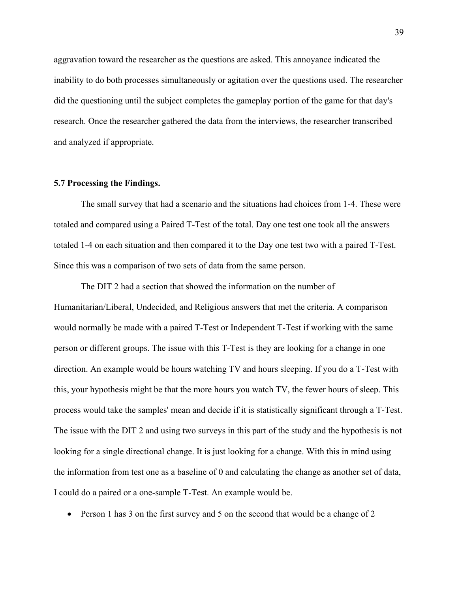aggravation toward the researcher as the questions are asked. This annoyance indicated the inability to do both processes simultaneously or agitation over the questions used. The researcher did the questioning until the subject completes the gameplay portion of the game for that day's research. Once the researcher gathered the data from the interviews, the researcher transcribed and analyzed if appropriate.

#### **5.7 Processing the Findings.**

The small survey that had a scenario and the situations had choices from 1-4. These were totaled and compared using a Paired T-Test of the total. Day one test one took all the answers totaled 1-4 on each situation and then compared it to the Day one test two with a paired T-Test. Since this was a comparison of two sets of data from the same person.

 The DIT 2 had a section that showed the information on the number of Humanitarian/Liberal, Undecided, and Religious answers that met the criteria. A comparison would normally be made with a paired T-Test or Independent T-Test if working with the same person or different groups. The issue with this T-Test is they are looking for a change in one direction. An example would be hours watching TV and hours sleeping. If you do a T-Test with this, your hypothesis might be that the more hours you watch TV, the fewer hours of sleep. This process would take the samples' mean and decide if it is statistically significant through a T-Test. The issue with the DIT 2 and using two surveys in this part of the study and the hypothesis is not looking for a single directional change. It is just looking for a change. With this in mind using the information from test one as a baseline of 0 and calculating the change as another set of data, I could do a paired or a one-sample T-Test. An example would be.

• Person 1 has 3 on the first survey and 5 on the second that would be a change of 2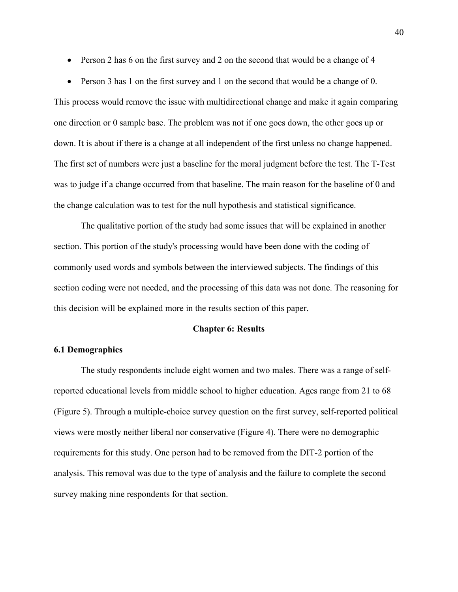- Person 2 has 6 on the first survey and 2 on the second that would be a change of 4
- Person 3 has 1 on the first survey and 1 on the second that would be a change of 0.

This process would remove the issue with multidirectional change and make it again comparing one direction or 0 sample base. The problem was not if one goes down, the other goes up or down. It is about if there is a change at all independent of the first unless no change happened. The first set of numbers were just a baseline for the moral judgment before the test. The T-Test was to judge if a change occurred from that baseline. The main reason for the baseline of 0 and the change calculation was to test for the null hypothesis and statistical significance.

 The qualitative portion of the study had some issues that will be explained in another section. This portion of the study's processing would have been done with the coding of commonly used words and symbols between the interviewed subjects. The findings of this section coding were not needed, and the processing of this data was not done. The reasoning for this decision will be explained more in the results section of this paper.

#### **Chapter 6: Results**

#### **6.1 Demographics**

The study respondents include eight women and two males. There was a range of selfreported educational levels from middle school to higher education. Ages range from 21 to 68 (Figure 5). Through a multiple-choice survey question on the first survey, self-reported political views were mostly neither liberal nor conservative (Figure 4). There were no demographic requirements for this study. One person had to be removed from the DIT-2 portion of the analysis. This removal was due to the type of analysis and the failure to complete the second survey making nine respondents for that section.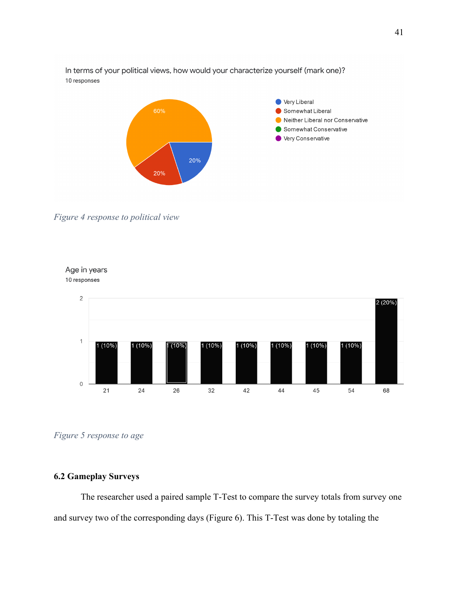In terms of your political views, how would your characterize yourself (mark one)? 10 responses



*Figure 4 response to political view* 

Age in years



*Figure 5 response to age* 

#### **6.2 Gameplay Surveys**

The researcher used a paired sample T-Test to compare the survey totals from survey one and survey two of the corresponding days (Figure 6). This T-Test was done by totaling the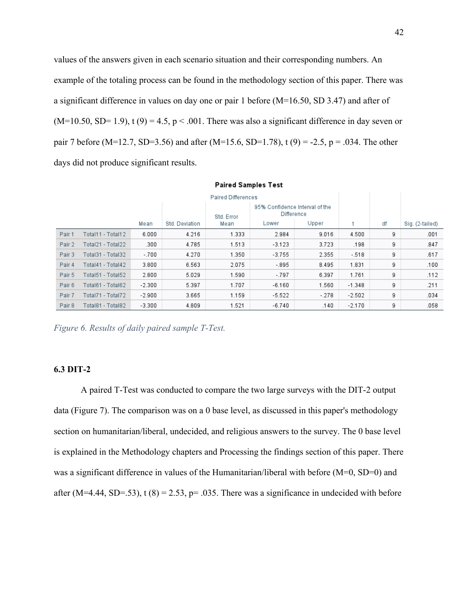values of the answers given in each scenario situation and their corresponding numbers. An example of the totaling process can be found in the methodology section of this paper. There was a significant difference in values on day one or pair 1 before (M=16.50, SD 3.47) and after of  $(M=10.50, SD=1.9)$ , t  $(9) = 4.5$ ,  $p < .001$ . There was also a significant difference in day seven or pair 7 before (M=12.7, SD=3.56) and after (M=15.6, SD=1.78), t (9) = -2.5, p = .034. The other days did not produce significant results.

| <b>Paired Differences</b> |                   |          |                |            |                                              |        |          |    |                 |
|---------------------------|-------------------|----------|----------------|------------|----------------------------------------------|--------|----------|----|-----------------|
|                           |                   |          |                | Std. Error | 95% Confidence Interval of the<br>Difference |        |          |    |                 |
|                           |                   | Mean     | Std. Deviation | Mean       | Lower                                        | Upper  |          | df | Sig. (2-tailed) |
| Pair 1                    | Total11 - Total12 | 6.000    | 4.216          | 1.333      | 2.984                                        | 9.016  | 4.500    | 9  | .001            |
| Pair 2                    | Total21 - Total22 | .300     | 4.785          | 1.513      | $-3.123$                                     | 3.723  | .198     | 9  | .847            |
| Pair 3                    | Total31 - Total32 | $-.700$  | 4.270          | 1.350      | $-3.755$                                     | 2.355  | $-518$   | 9  | .617            |
| Pair 4                    | Total41 - Total42 | 3.800    | 6.563          | 2.075      | - 895                                        | 8.495  | 1.831    | 9  | .100            |
| Pair 5                    | Total51 - Total52 | 2.800    | 5.029          | 1.590      | $-797$                                       | 6.397  | 1.761    | 9  | .112            |
| Pair 6                    | Total61 - Total62 | $-2.300$ | 5.397          | 1.707      | $-6.160$                                     | 1.560  | $-1.348$ | 9  | .211            |
| Pair 7                    | Total71 - Total72 | $-2.900$ | 3.665          | 1.159      | $-5.522$                                     | $-278$ | $-2.502$ | 9  | .034            |
| Pair 8                    | Total81 - Total82 | $-3.300$ | 4.809          | 1.521      | $-6.740$                                     | .140   | $-2.170$ | 9  | .058            |

**Paired Samples Test** 

*Figure 6. Results of daily paired sample T-Test.*

#### **6.3 DIT-2**

A paired T-Test was conducted to compare the two large surveys with the DIT-2 output data (Figure 7). The comparison was on a 0 base level, as discussed in this paper's methodology section on humanitarian/liberal, undecided, and religious answers to the survey. The 0 base level is explained in the Methodology chapters and Processing the findings section of this paper. There was a significant difference in values of the Humanitarian/liberal with before (M=0, SD=0) and after (M=4.44, SD=.53), t (8) = 2.53, p= .035. There was a significance in undecided with before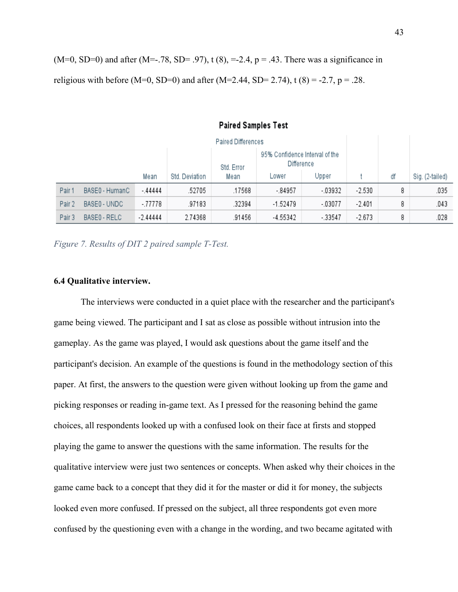$(M=0, SD=0)$  and after  $(M=-.78, SD=-.97)$ , t  $(8)$ ,  $=-2.4$ ,  $p=.43$ . There was a significance in religious with before (M=0, SD=0) and after (M=2.44, SD= 2.74), t (8) = -2.7, p = .28.

| <b>Paired Differences</b> |                                                            |            |                |        |          |          |          |    |                 |
|---------------------------|------------------------------------------------------------|------------|----------------|--------|----------|----------|----------|----|-----------------|
|                           | 95% Confidence Interval of the<br>Difference<br>Std. Error |            |                |        |          |          |          |    |                 |
|                           |                                                            | Mean       | Std. Deviation | Mean   | _ower    | Upper    |          | df | Sig. (2-tailed) |
| Pair 1                    | BASE0 - HumanC                                             | $-44444$   | .52705         | .17568 | - 84957  | $-03932$ | $-2.530$ | 8  | .035            |
| Pair 2                    | BASE0 - UNDC                                               | $-77778$   | .97183         | .32394 | -1.52479 | $-03077$ | $-2.401$ | 8  | .043            |
| Pair 3                    | BASE0 - RELC                                               | $-2.44444$ | 2.74368        | .91456 | -4.55342 | $-33547$ | $-2.673$ | 8  | .028            |

#### **Paired Samples Test**

*Figure 7. Results of DIT 2 paired sample T-Test.*

#### **6.4 Qualitative interview.**

The interviews were conducted in a quiet place with the researcher and the participant's game being viewed. The participant and I sat as close as possible without intrusion into the gameplay. As the game was played, I would ask questions about the game itself and the participant's decision. An example of the questions is found in the methodology section of this paper. At first, the answers to the question were given without looking up from the game and picking responses or reading in-game text. As I pressed for the reasoning behind the game choices, all respondents looked up with a confused look on their face at firsts and stopped playing the game to answer the questions with the same information. The results for the qualitative interview were just two sentences or concepts. When asked why their choices in the game came back to a concept that they did it for the master or did it for money, the subjects looked even more confused. If pressed on the subject, all three respondents got even more confused by the questioning even with a change in the wording, and two became agitated with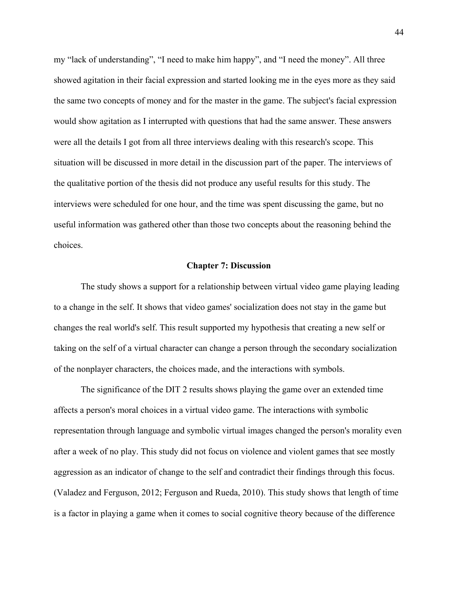my "lack of understanding", "I need to make him happy", and "I need the money". All three showed agitation in their facial expression and started looking me in the eyes more as they said the same two concepts of money and for the master in the game. The subject's facial expression would show agitation as I interrupted with questions that had the same answer. These answers were all the details I got from all three interviews dealing with this research's scope. This situation will be discussed in more detail in the discussion part of the paper. The interviews of the qualitative portion of the thesis did not produce any useful results for this study. The interviews were scheduled for one hour, and the time was spent discussing the game, but no useful information was gathered other than those two concepts about the reasoning behind the choices.

#### **Chapter 7: Discussion**

 The study shows a support for a relationship between virtual video game playing leading to a change in the self. It shows that video games' socialization does not stay in the game but changes the real world's self. This result supported my hypothesis that creating a new self or taking on the self of a virtual character can change a person through the secondary socialization of the nonplayer characters, the choices made, and the interactions with symbols.

 The significance of the DIT 2 results shows playing the game over an extended time affects a person's moral choices in a virtual video game. The interactions with symbolic representation through language and symbolic virtual images changed the person's morality even after a week of no play. This study did not focus on violence and violent games that see mostly aggression as an indicator of change to the self and contradict their findings through this focus. (Valadez and Ferguson, 2012; Ferguson and Rueda, 2010). This study shows that length of time is a factor in playing a game when it comes to social cognitive theory because of the difference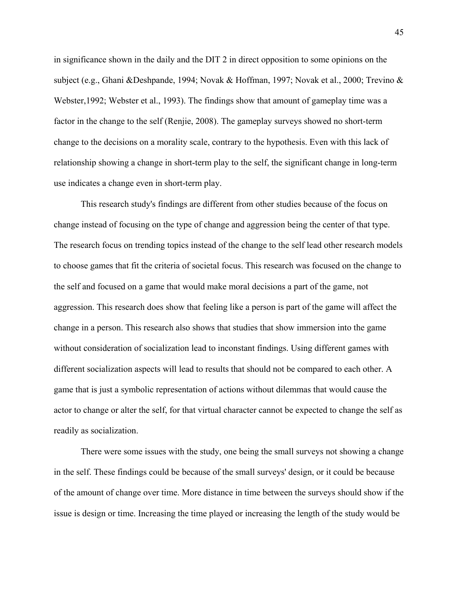in significance shown in the daily and the DIT 2 in direct opposition to some opinions on the subject (e.g., Ghani &Deshpande, 1994; Novak & Hoffman, 1997; Novak et al., 2000; Trevino & Webster,1992; Webster et al., 1993). The findings show that amount of gameplay time was a factor in the change to the self (Renjie, 2008). The gameplay surveys showed no short-term change to the decisions on a morality scale, contrary to the hypothesis. Even with this lack of relationship showing a change in short-term play to the self, the significant change in long-term use indicates a change even in short-term play.

 This research study's findings are different from other studies because of the focus on change instead of focusing on the type of change and aggression being the center of that type. The research focus on trending topics instead of the change to the self lead other research models to choose games that fit the criteria of societal focus. This research was focused on the change to the self and focused on a game that would make moral decisions a part of the game, not aggression. This research does show that feeling like a person is part of the game will affect the change in a person. This research also shows that studies that show immersion into the game without consideration of socialization lead to inconstant findings. Using different games with different socialization aspects will lead to results that should not be compared to each other. A game that is just a symbolic representation of actions without dilemmas that would cause the actor to change or alter the self, for that virtual character cannot be expected to change the self as readily as socialization.

There were some issues with the study, one being the small surveys not showing a change in the self. These findings could be because of the small surveys' design, or it could be because of the amount of change over time. More distance in time between the surveys should show if the issue is design or time. Increasing the time played or increasing the length of the study would be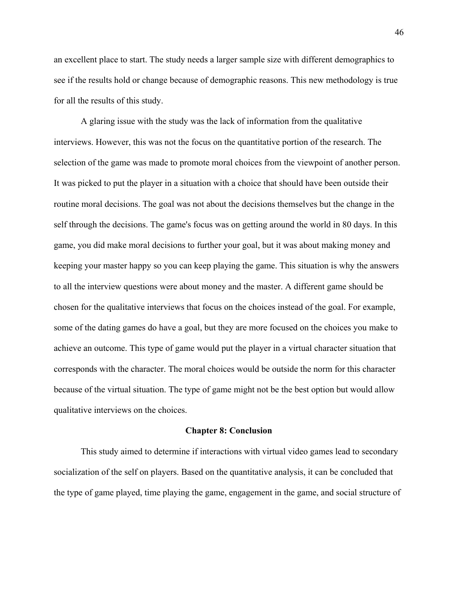an excellent place to start. The study needs a larger sample size with different demographics to see if the results hold or change because of demographic reasons. This new methodology is true for all the results of this study.

A glaring issue with the study was the lack of information from the qualitative interviews. However, this was not the focus on the quantitative portion of the research. The selection of the game was made to promote moral choices from the viewpoint of another person. It was picked to put the player in a situation with a choice that should have been outside their routine moral decisions. The goal was not about the decisions themselves but the change in the self through the decisions. The game's focus was on getting around the world in 80 days. In this game, you did make moral decisions to further your goal, but it was about making money and keeping your master happy so you can keep playing the game. This situation is why the answers to all the interview questions were about money and the master. A different game should be chosen for the qualitative interviews that focus on the choices instead of the goal. For example, some of the dating games do have a goal, but they are more focused on the choices you make to achieve an outcome. This type of game would put the player in a virtual character situation that corresponds with the character. The moral choices would be outside the norm for this character because of the virtual situation. The type of game might not be the best option but would allow qualitative interviews on the choices.

#### **Chapter 8: Conclusion**

 This study aimed to determine if interactions with virtual video games lead to secondary socialization of the self on players. Based on the quantitative analysis, it can be concluded that the type of game played, time playing the game, engagement in the game, and social structure of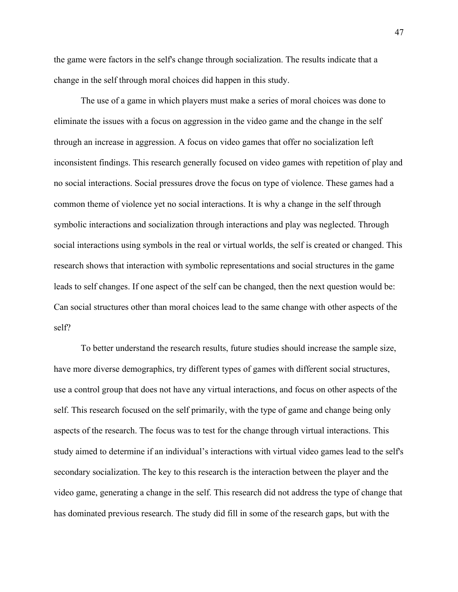the game were factors in the self's change through socialization. The results indicate that a change in the self through moral choices did happen in this study.

The use of a game in which players must make a series of moral choices was done to eliminate the issues with a focus on aggression in the video game and the change in the self through an increase in aggression. A focus on video games that offer no socialization left inconsistent findings. This research generally focused on video games with repetition of play and no social interactions. Social pressures drove the focus on type of violence. These games had a common theme of violence yet no social interactions. It is why a change in the self through symbolic interactions and socialization through interactions and play was neglected. Through social interactions using symbols in the real or virtual worlds, the self is created or changed. This research shows that interaction with symbolic representations and social structures in the game leads to self changes. If one aspect of the self can be changed, then the next question would be: Can social structures other than moral choices lead to the same change with other aspects of the self?

To better understand the research results, future studies should increase the sample size, have more diverse demographics, try different types of games with different social structures, use a control group that does not have any virtual interactions, and focus on other aspects of the self. This research focused on the self primarily, with the type of game and change being only aspects of the research. The focus was to test for the change through virtual interactions. This study aimed to determine if an individual's interactions with virtual video games lead to the self's secondary socialization. The key to this research is the interaction between the player and the video game, generating a change in the self. This research did not address the type of change that has dominated previous research. The study did fill in some of the research gaps, but with the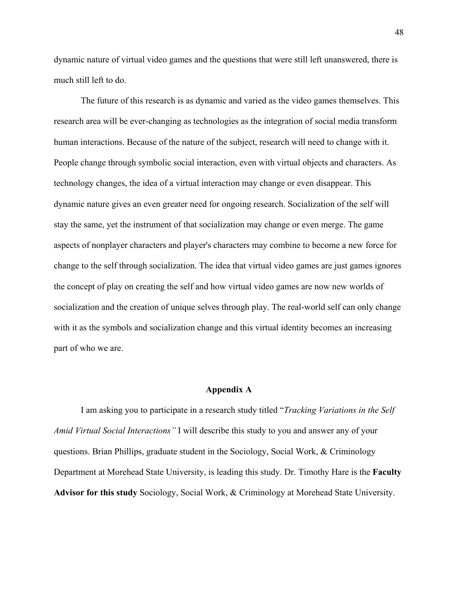dynamic nature of virtual video games and the questions that were still left unanswered, there is much still left to do.

The future of this research is as dynamic and varied as the video games themselves. This research area will be ever-changing as technologies as the integration of social media transform human interactions. Because of the nature of the subject, research will need to change with it. People change through symbolic social interaction, even with virtual objects and characters. As technology changes, the idea of a virtual interaction may change or even disappear. This dynamic nature gives an even greater need for ongoing research. Socialization of the self will stay the same, yet the instrument of that socialization may change or even merge. The game aspects of nonplayer characters and player's characters may combine to become a new force for change to the self through socialization. The idea that virtual video games are just games ignores the concept of play on creating the self and how virtual video games are now new worlds of socialization and the creation of unique selves through play. The real-world self can only change with it as the symbols and socialization change and this virtual identity becomes an increasing part of who we are.

#### **Appendix A**

I am asking you to participate in a research study titled "*Tracking Variations in the Self Amid Virtual Social Interactions"* I will describe this study to you and answer any of your questions. Brian Phillips, graduate student in the Sociology, Social Work, & Criminology Department at Morehead State University, is leading this study. Dr. Timothy Hare is the **Faculty Advisor for this study** Sociology, Social Work, & Criminology at Morehead State University.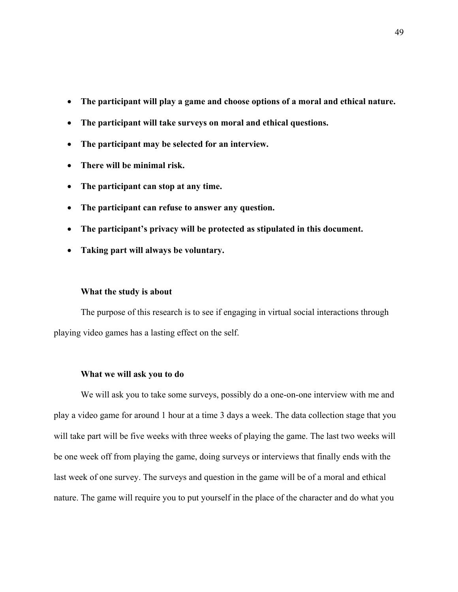- **The participant will play a game and choose options of a moral and ethical nature.**
- **The participant will take surveys on moral and ethical questions.**
- **The participant may be selected for an interview.**
- **There will be minimal risk.**
- **The participant can stop at any time.**
- **The participant can refuse to answer any question.**
- **The participant's privacy will be protected as stipulated in this document.**
- **Taking part will always be voluntary.**

#### **What the study is about**

The purpose of this research is to see if engaging in virtual social interactions through playing video games has a lasting effect on the self.

#### **What we will ask you to do**

We will ask you to take some surveys, possibly do a one-on-one interview with me and play a video game for around 1 hour at a time 3 days a week. The data collection stage that you will take part will be five weeks with three weeks of playing the game. The last two weeks will be one week off from playing the game, doing surveys or interviews that finally ends with the last week of one survey. The surveys and question in the game will be of a moral and ethical nature. The game will require you to put yourself in the place of the character and do what you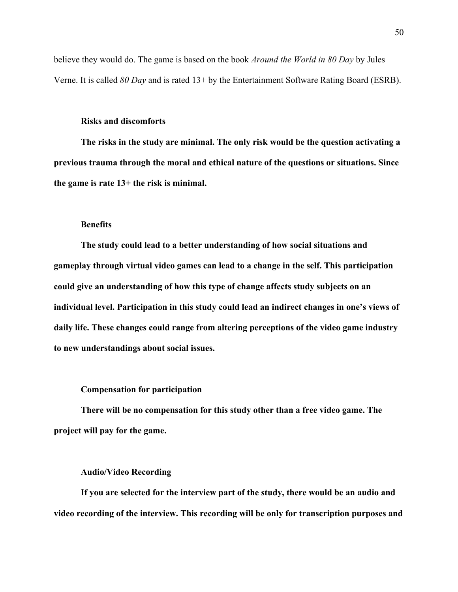believe they would do. The game is based on the book *Around the World in 80 Day* by Jules Verne. It is called *80 Day* and is rated 13+ by the Entertainment Software Rating Board (ESRB).

#### **Risks and discomforts**

**The risks in the study are minimal. The only risk would be the question activating a previous trauma through the moral and ethical nature of the questions or situations. Since the game is rate 13+ the risk is minimal.** 

#### **Benefits**

**The study could lead to a better understanding of how social situations and gameplay through virtual video games can lead to a change in the self. This participation could give an understanding of how this type of change affects study subjects on an individual level. Participation in this study could lead an indirect changes in one's views of daily life. These changes could range from altering perceptions of the video game industry to new understandings about social issues.** 

#### **Compensation for participation**

**There will be no compensation for this study other than a free video game. The project will pay for the game.** 

#### **Audio/Video Recording**

**If you are selected for the interview part of the study, there would be an audio and video recording of the interview. This recording will be only for transcription purposes and**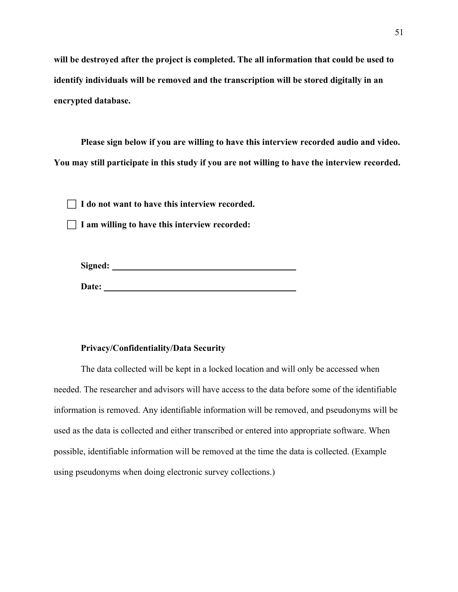**will be destroyed after the project is completed. The all information that could be used to identify individuals will be removed and the transcription will be stored digitally in an encrypted database.** 

**Please sign below if you are willing to have this interview recorded audio and video. You may still participate in this study if you are not willing to have the interview recorded.**

**I do not want to have this interview recorded.**

**I am willing to have this interview recorded:**

| Signed: |  |  |  |
|---------|--|--|--|
|         |  |  |  |
| Date:   |  |  |  |

#### **Privacy/Confidentiality/Data Security**

The data collected will be kept in a locked location and will only be accessed when needed. The researcher and advisors will have access to the data before some of the identifiable information is removed. Any identifiable information will be removed, and pseudonyms will be used as the data is collected and either transcribed or entered into appropriate software. When possible, identifiable information will be removed at the time the data is collected. (Example using pseudonyms when doing electronic survey collections.)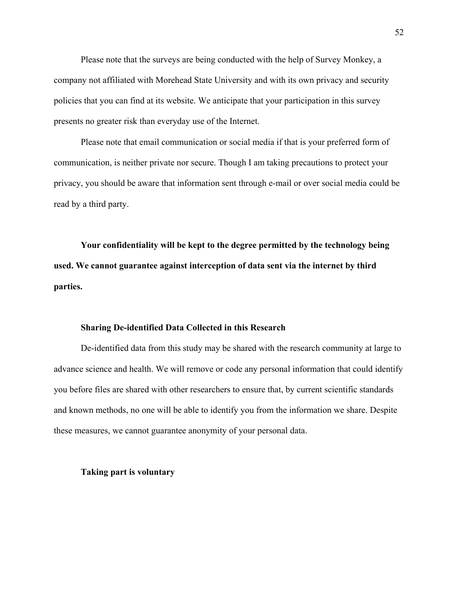Please note that the surveys are being conducted with the help of Survey Monkey, a company not affiliated with Morehead State University and with its own privacy and security policies that you can find at its website. We anticipate that your participation in this survey presents no greater risk than everyday use of the Internet.

Please note that email communication or social media if that is your preferred form of communication, is neither private nor secure. Though I am taking precautions to protect your privacy, you should be aware that information sent through e-mail or over social media could be read by a third party.

**Your confidentiality will be kept to the degree permitted by the technology being used. We cannot guarantee against interception of data sent via the internet by third parties.** 

#### **Sharing De-identified Data Collected in this Research**

De-identified data from this study may be shared with the research community at large to advance science and health. We will remove or code any personal information that could identify you before files are shared with other researchers to ensure that, by current scientific standards and known methods, no one will be able to identify you from the information we share. Despite these measures, we cannot guarantee anonymity of your personal data.

#### **Taking part is voluntary**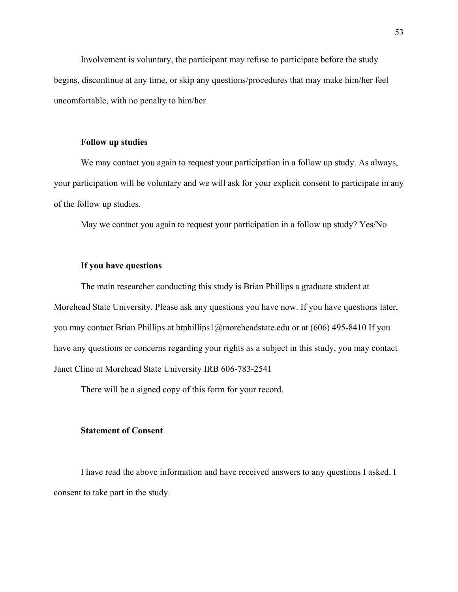Involvement is voluntary, the participant may refuse to participate before the study begins, discontinue at any time, or skip any questions/procedures that may make him/her feel uncomfortable, with no penalty to him/her.

#### **Follow up studies**

We may contact you again to request your participation in a follow up study. As always, your participation will be voluntary and we will ask for your explicit consent to participate in any of the follow up studies.

May we contact you again to request your participation in a follow up study? Yes/No

#### **If you have questions**

The main researcher conducting this study is Brian Phillips a graduate student at Morehead State University. Please ask any questions you have now. If you have questions later, you may contact Brian Phillips at btphillips1@moreheadstate.edu or at (606) 495-8410 If you have any questions or concerns regarding your rights as a subject in this study, you may contact Janet Cline at Morehead State University IRB 606-783-2541

There will be a signed copy of this form for your record.

#### **Statement of Consent**

I have read the above information and have received answers to any questions I asked. I consent to take part in the study.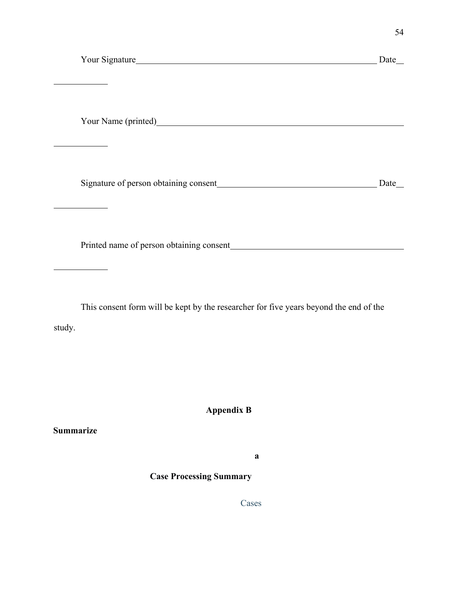|  | Your Signature |
|--|----------------|
|--|----------------|

 $\overline{a}$ 

 $\overline{a}$ 

 $\overline{a}$ 

 $\overline{a}$ 

The Signature Date Date

Your Name (printed)

Signature of person obtaining consent Date Date Date

Printed name of person obtaining consent

This consent form will be kept by the researcher for five years beyond the end of the study.

**Appendix B**

**Summarize**

**a**

**Case Processing Summary**

Cases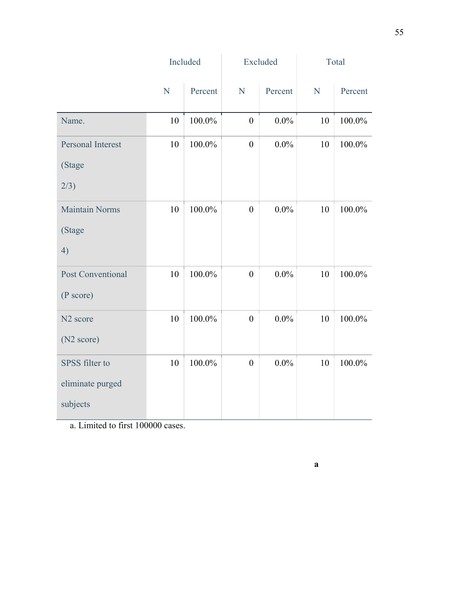|                          |    | Included |                  | Excluded |           | Total   |  |
|--------------------------|----|----------|------------------|----------|-----------|---------|--|
|                          | N  | Percent  | N                | Percent  | ${\bf N}$ | Percent |  |
| Name.                    | 10 | 100.0%   | $\boldsymbol{0}$ | $0.0\%$  | 10        | 100.0%  |  |
| <b>Personal Interest</b> | 10 | 100.0%   | $\boldsymbol{0}$ | $0.0\%$  | 10        | 100.0%  |  |
| (Stage                   |    |          |                  |          |           |         |  |
| 2/3)                     |    |          |                  |          |           |         |  |
| <b>Maintain Norms</b>    | 10 | 100.0%   | $\boldsymbol{0}$ | $0.0\%$  | 10        | 100.0%  |  |
| (Stage                   |    |          |                  |          |           |         |  |
| 4)                       |    |          |                  |          |           |         |  |
| <b>Post Conventional</b> | 10 | 100.0%   | $\boldsymbol{0}$ | $0.0\%$  | 10        | 100.0%  |  |
| (P score)                |    |          |                  |          |           |         |  |
| N <sub>2</sub> score     | 10 | 100.0%   | $\boldsymbol{0}$ | $0.0\%$  | 10        | 100.0%  |  |
| (N <sub>2</sub> score)   |    |          |                  |          |           |         |  |
| SPSS filter to           | 10 | 100.0%   | $\boldsymbol{0}$ | $0.0\%$  | 10        | 100.0%  |  |
| eliminate purged         |    |          |                  |          |           |         |  |
| subjects                 |    |          |                  |          |           |         |  |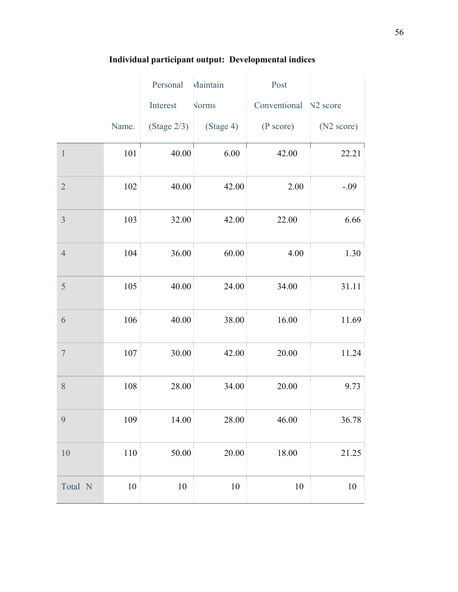|                |         | Personal       | Maintain     | Post         |                        |
|----------------|---------|----------------|--------------|--------------|------------------------|
|                |         | Interest       | <b>Norms</b> | Conventional | N <sub>2</sub> score   |
|                | Name.   | (Stage $2/3$ ) | (Stage 4)    | (P score)    | (N <sub>2</sub> score) |
| $\mathbf{1}$   | 101     | 40.00          | $6.00\,$     | 42.00        | 22.21                  |
| $\overline{2}$ | 102     | 40.00          | 42.00        | 2.00         | $-.09$                 |
| $\overline{3}$ | 103     | 32.00          | 42.00        | 22.00        | 6.66                   |
| $\overline{4}$ | 104     | 36.00          | 60.00        | 4.00         | 1.30                   |
| 5              | 105     | 40.00          | 24.00        | 34.00        | 31.11                  |
| 6              | 106     | 40.00          | 38.00        | 16.00        | 11.69                  |
| $\overline{7}$ | 107     | 30.00          | 42.00        | 20.00        | 11.24                  |
| 8              | 108     | 28.00          | 34.00        | 20.00        | 9.73                   |
| 9              | 109     | 14.00          | 28.00        | 46.00        | 36.78                  |
| 10             | $110\,$ | 50.00          | $20.00\,$    | 18.00        | 21.25                  |
| Total N        | $10\,$  | $10\,$         | $10\,$       | 10           | $10\,$                 |

## **Individual participant output: Developmental indices**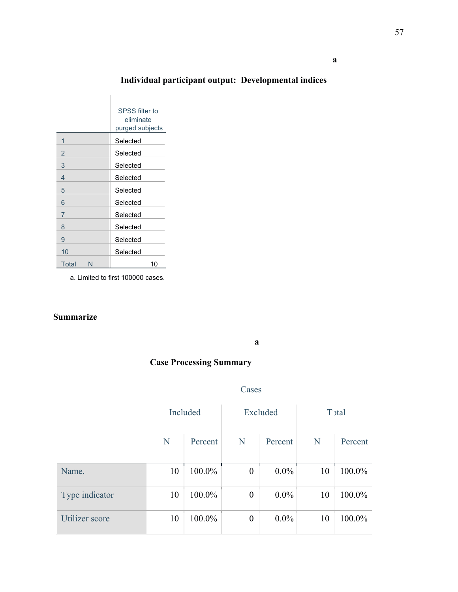## **Individual participant output: Developmental indices**

|            | SPSS filter to<br>eliminate<br>purged subjects |
|------------|------------------------------------------------|
| 1          | Selected                                       |
| 2          | Selected                                       |
| 3          | Selected                                       |
| 4          | Selected                                       |
| 5          | Selected                                       |
| 6          | Selected                                       |
| 7          | Selected                                       |
| 8          | Selected                                       |
| 9          | Selected                                       |
| 10         | Selected                                       |
| Total<br>N | 10                                             |

a. Limited to first 100000 cases.

### **Summarize**

**a**

### **Case Processing Summary**

#### Cases

|                | Included |         | Excluded         |         | T stal |         |
|----------------|----------|---------|------------------|---------|--------|---------|
|                | N        | Percent | N                | Percent | N      | Percent |
| Name.          | 10       | 100.0%  | $\boldsymbol{0}$ | $0.0\%$ | 10     | 100.0%  |
| Type indicator | 10       | 100.0%  | $\boldsymbol{0}$ | $0.0\%$ | 10     | 100.0%  |
| Utilizer score | 10       | 100.0%  | $\boldsymbol{0}$ | $0.0\%$ | 10     | 100.0%  |

**a**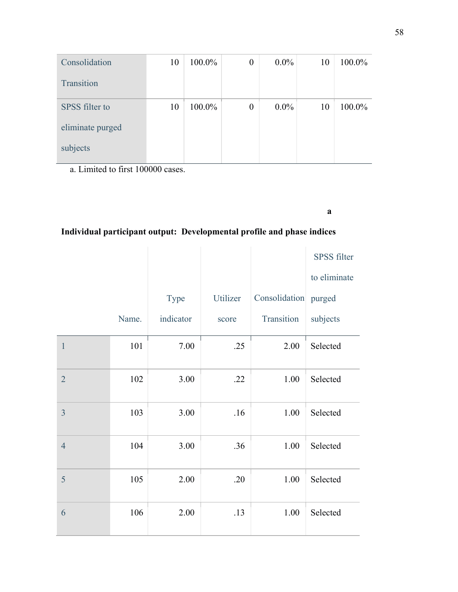| Consolidation    | 10 | 100.0% | $\boldsymbol{0}$ | $0.0\%$ | 10 | 100.0% |
|------------------|----|--------|------------------|---------|----|--------|
| Transition       |    |        |                  |         |    |        |
| SPSS filter to   | 10 | 100.0% | $\boldsymbol{0}$ | $0.0\%$ | 10 | 100.0% |
| eliminate purged |    |        |                  |         |    |        |
| subjects         |    |        |                  |         |    |        |

**a**

## **Individual participant output: Developmental profile and phase indices**

|                |       |           |          |                      | SPSS filter  |
|----------------|-------|-----------|----------|----------------------|--------------|
|                |       |           |          |                      | to eliminate |
|                |       | Type      | Utilizer | Consolidation purged |              |
|                | Name. | indicator | score    | Transition           | subjects     |
| $\mathbf{1}$   | 101   | 7.00      | .25      | 2.00                 | Selected     |
| $\overline{2}$ | 102   | 3.00      | .22      | 1.00                 | Selected     |
| $\overline{3}$ | 103   | 3.00      | .16      | 1.00                 | Selected     |
| $\overline{4}$ | 104   | 3.00      | .36      | 1.00                 | Selected     |
| 5              | 105   | 2.00      | .20      | 1.00                 | Selected     |
| 6              | 106   | 2.00      | .13      | 1.00                 | Selected     |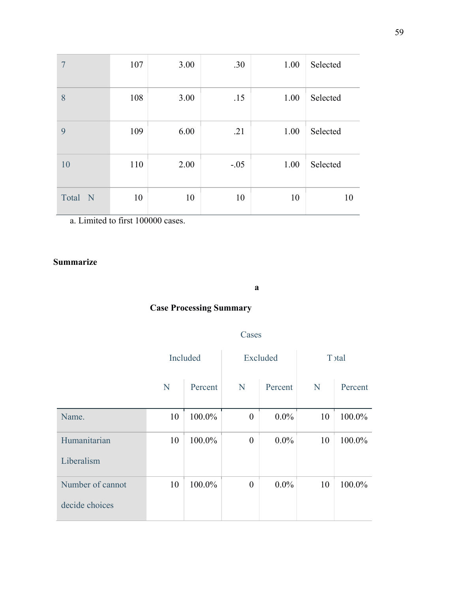| 7       | 107 | 3.00 | .30    | 1.00 | Selected |
|---------|-----|------|--------|------|----------|
| 8       | 108 | 3.00 | .15    | 1.00 | Selected |
| 9       | 109 | 6.00 | .21    | 1.00 | Selected |
| 10      | 110 | 2.00 | $-.05$ | 1.00 | Selected |
| Total N | 10  | 10   | 10     | 10   | 10       |

### **Summarize**

#### **a**

## **Case Processing Summary**

### Cases

|                  | Included |         | Excluded         |         | T stal |         |
|------------------|----------|---------|------------------|---------|--------|---------|
|                  | N        | Percent | N                | Percent | N      | Percent |
| Name.            | 10       | 100.0%  | $\boldsymbol{0}$ | $0.0\%$ | 10     | 100.0%  |
| Humanitarian     | 10       | 100.0%  | $\boldsymbol{0}$ | $0.0\%$ | 10     | 100.0%  |
| Liberalism       |          |         |                  |         |        |         |
| Number of cannot | 10       | 100.0%  | $\theta$         | $0.0\%$ | 10     | 100.0%  |
| decide choices   |          |         |                  |         |        |         |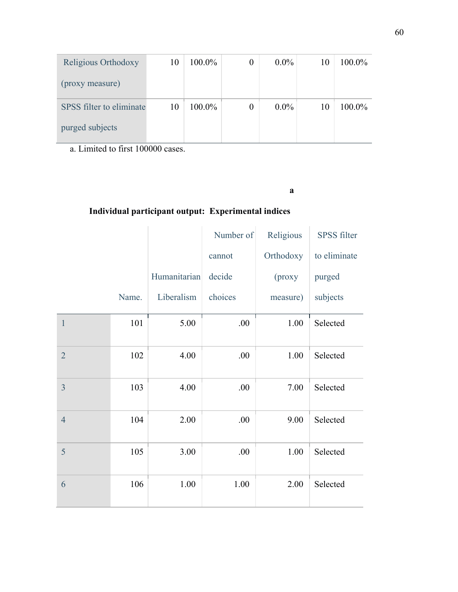| Religious Orthodoxy      | 10 | 100.0% | $\theta$ | $0.0\%$ | 10 | 100.0% |
|--------------------------|----|--------|----------|---------|----|--------|
| (proxy measure)          |    |        |          |         |    |        |
| SPSS filter to eliminate | 10 | 100.0% | 0        | $0.0\%$ | 10 | 100.0% |
| purged subjects          |    |        |          |         |    |        |

**a**

## **Individual participant output: Experimental indices**

|                |       |              | Number of | Religious | <b>SPSS</b> filter |
|----------------|-------|--------------|-----------|-----------|--------------------|
|                |       |              | cannot    | Orthodoxy | to eliminate       |
|                |       | Humanitarian | decide    | (proxy    | purged             |
|                | Name. | Liberalism   | choices   | measure)  | subjects           |
| $\mathbf{1}$   | 101   | 5.00         | .00       | 1.00      | Selected           |
| $\overline{2}$ | 102   | 4.00         | .00       | 1.00      | Selected           |
| 3              | 103   | 4.00         | .00       | 7.00      | Selected           |
| $\overline{4}$ | 104   | 2.00         | .00       | 9.00      | Selected           |
| 5              | 105   | 3.00         | .00       | 1.00      | Selected           |
| 6              | 106   | 1.00         | 1.00      | 2.00      | Selected           |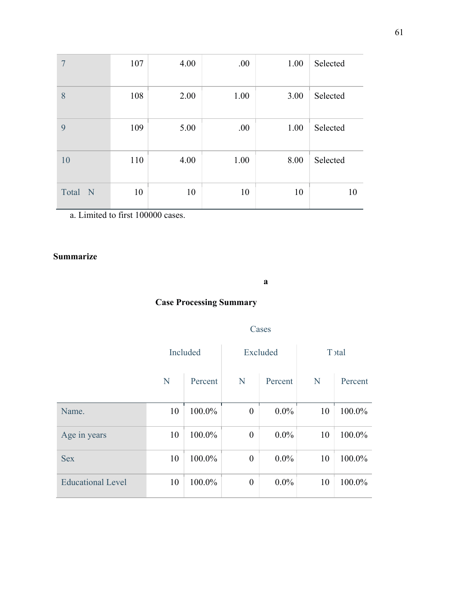| 7                    | 107 | 4.00 | .00  | 1.00 | Selected |
|----------------------|-----|------|------|------|----------|
| 8                    | 108 | 2.00 | 1.00 | 3.00 | Selected |
| 9                    | 109 | 5.00 | .00  | 1.00 | Selected |
| 10                   | 110 | 4.00 | 1.00 | 8.00 | Selected |
| Total<br>$\mathbf N$ | 10  | 10   | 10   | 10   | 10       |

### **Summarize**

**a**

## **Case Processing Summary**

### Cases

|                          | Included |         | Excluded         |         | T <sub>stal</sub> |         |
|--------------------------|----------|---------|------------------|---------|-------------------|---------|
|                          | N        | Percent | N                | Percent | N                 | Percent |
| Name.                    | 10       | 100.0%  | $\boldsymbol{0}$ | $0.0\%$ | 10                | 100.0%  |
| Age in years             | 10       | 100.0%  | $\overline{0}$   | $0.0\%$ | 10                | 100.0%  |
| <b>Sex</b>               | 10       | 100.0%  | $\boldsymbol{0}$ | $0.0\%$ | 10                | 100.0%  |
| <b>Educational Level</b> | 10       | 100.0%  | $\boldsymbol{0}$ | $0.0\%$ | 10                | 100.0%  |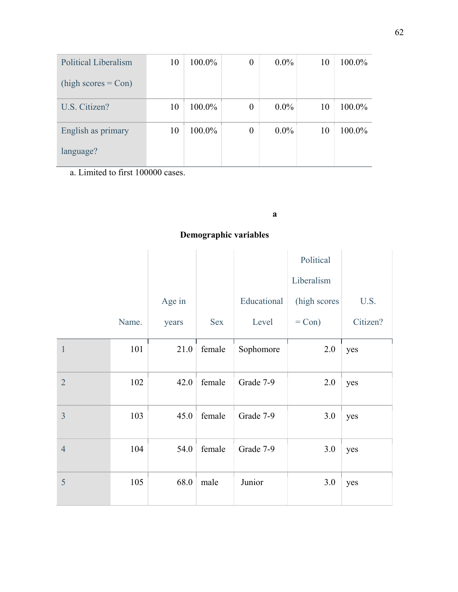| Political Liberalism  | 10 | 100.0% | $\theta$         | $0.0\%$ | 10 | 100.0% |
|-----------------------|----|--------|------------------|---------|----|--------|
| $(high scores = Con)$ |    |        |                  |         |    |        |
| U.S. Citizen?         | 10 | 100.0% | $\boldsymbol{0}$ | $0.0\%$ | 10 | 100.0% |
| English as primary    | 10 | 100.0% | $\boldsymbol{0}$ | $0.0\%$ | 10 | 100.0% |
| language?             |    |        |                  |         |    |        |

### **a**

## **Demographic variables**

|                |       |        |            |             | Political    |          |
|----------------|-------|--------|------------|-------------|--------------|----------|
|                |       |        |            |             | Liberalism   |          |
|                |       | Age in |            | Educational | (high scores | U.S.     |
|                | Name. | years  | <b>Sex</b> | Level       | $=$ Con)     | Citizen? |
| $\mathbf{1}$   | 101   | 21.0   | female     | Sophomore   | 2.0          | yes      |
| $\overline{2}$ | 102   | 42.0   | female     | Grade 7-9   | 2.0          | yes      |
| $\overline{3}$ | 103   | 45.0   | female     | Grade 7-9   | 3.0          | yes      |
| $\overline{4}$ | 104   | 54.0   | female     | Grade 7-9   | 3.0          | yes      |
| 5              | 105   | 68.0   | male       | Junior      | 3.0          | yes      |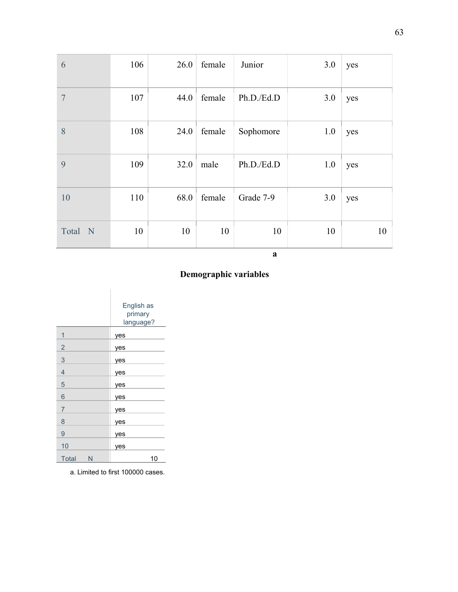| 6              | 106 | 26.0 | female | Junior     | 3.0 | yes |
|----------------|-----|------|--------|------------|-----|-----|
| $\overline{7}$ | 107 | 44.0 | female | Ph.D./Ed.D | 3.0 | yes |
| 8              | 108 | 24.0 | female | Sophomore  | 1.0 | yes |
| 9              | 109 | 32.0 | male   | Ph.D./Ed.D | 1.0 | yes |
| 10             | 110 | 68.0 | female | Grade 7-9  | 3.0 | yes |
| Total N        | 10  | 10   | 10     | 10         | 10  | 10  |

**a** 

## **Demographic variables**

|                   | English as<br>primary<br>language? |
|-------------------|------------------------------------|
| 1                 | yes                                |
| $\overline{c}$    | yes                                |
| 3                 | yes                                |
| $\overline{4}$    | yes                                |
| 5                 | yes                                |
| $\overline{6}$    | yes                                |
| $\overline{7}$    | yes                                |
| 8                 | yes                                |
| 9                 | yes                                |
| 10                | yes                                |
| <b>Total</b><br>N | 10                                 |

a. Limited to first 100000 cases.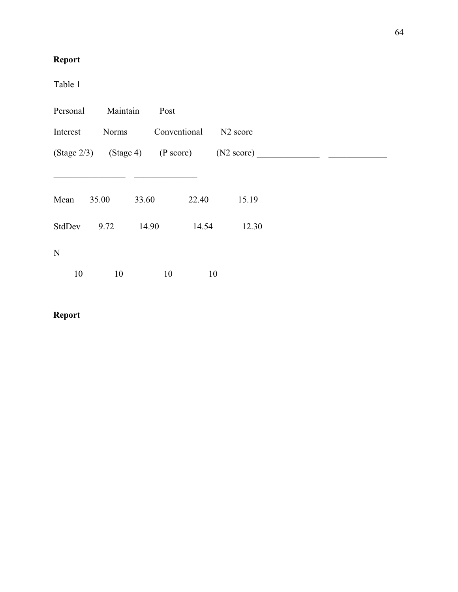## **Report**

Table 1

| Personal    | Maintain     | Post  |              |                      |                                                    |  |
|-------------|--------------|-------|--------------|----------------------|----------------------------------------------------|--|
| Interest    | <b>Norms</b> |       | Conventional | N <sub>2</sub> score |                                                    |  |
|             |              |       |              |                      | $(Stage 2/3)$ $(Stage 4)$ $(P score)$ $(N2 score)$ |  |
|             |              |       |              |                      |                                                    |  |
| Mean        | 35.00        | 33.60 | 22.40        | 15.19                |                                                    |  |
| StdDev      | 9.72         | 14.90 | 14.54        | 12.30                |                                                    |  |
| $\mathbf N$ |              |       |              |                      |                                                    |  |
| 10          | 10           | 10    | 10           |                      |                                                    |  |

## **Report**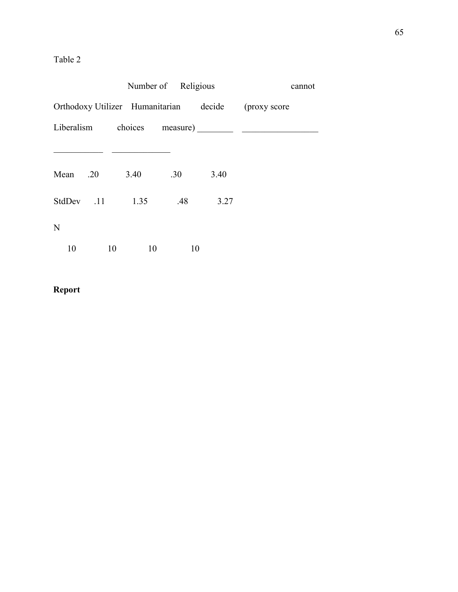## Table 2

|          |                 | Number of Religious |      | cannot                                              |
|----------|-----------------|---------------------|------|-----------------------------------------------------|
|          |                 |                     |      | Orthodoxy Utilizer Humanitarian decide (proxy score |
|          |                 |                     |      |                                                     |
|          |                 |                     |      |                                                     |
| Mean .20 | 3.40            | .30                 | 3.40 |                                                     |
|          | StdDev .11 1.35 | .48                 | 3.27 |                                                     |
| N        |                 |                     |      |                                                     |
| 10       | 10<br>10        | 10                  |      |                                                     |

## **Report**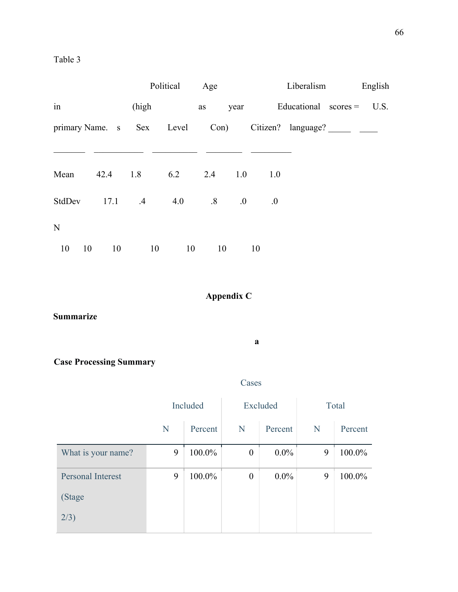|             |    |          |               | Political                      | Age               |      |     | Liberalism             | English |
|-------------|----|----------|---------------|--------------------------------|-------------------|------|-----|------------------------|---------|
| in          |    |          | (high         |                                | as                | year |     | Educational $scores =$ | U.S.    |
|             |    |          |               | primary Name. s Sex Level Con) |                   |      |     |                        |         |
|             |    |          |               |                                |                   |      |     |                        |         |
| Mean        |    | 42.4 1.8 |               | 6.2                            | 2.4               | 1.0  | 1.0 |                        |         |
| StdDev      |    |          | $17.1 \t\t 4$ | 4.0                            | $\boldsymbol{.8}$ | 0.0  | 0.  |                        |         |
| $\mathbf N$ |    |          |               |                                |                   |      |     |                        |         |
| 10          | 10 | 10       |               | 10                             | 10                | 10   | 10  |                        |         |

# **Appendix C**

**Summarize**

**a**

Cases

**Case Processing Summary**

|                          | Included |         | Excluded         |         | Total |         |
|--------------------------|----------|---------|------------------|---------|-------|---------|
|                          | N        | Percent | N                | Percent | N     | Percent |
| What is your name?       | 9        | 100.0%  | $\boldsymbol{0}$ | $0.0\%$ | 9     | 100.0%  |
| <b>Personal Interest</b> | 9        | 100.0%  | $\boldsymbol{0}$ | $0.0\%$ | 9     | 100.0%  |
| (Stage                   |          |         |                  |         |       |         |
| 2/3)                     |          |         |                  |         |       |         |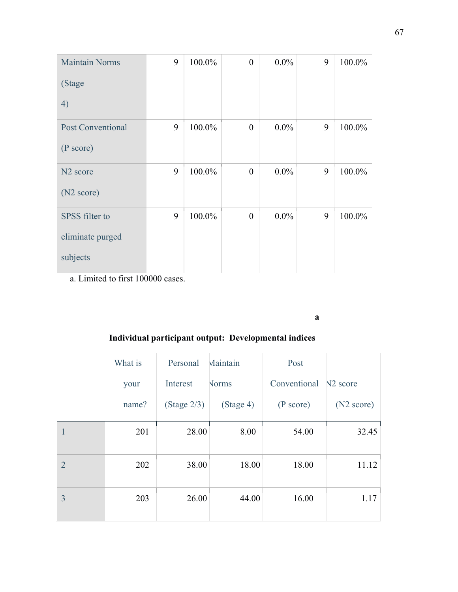| <b>Maintain Norms</b>    | 9 | 100.0% | $\overline{0}$   | $0.0\%$ | 9 | 100.0% |
|--------------------------|---|--------|------------------|---------|---|--------|
| (Stage                   |   |        |                  |         |   |        |
| 4)                       |   |        |                  |         |   |        |
| <b>Post Conventional</b> | 9 | 100.0% | $\boldsymbol{0}$ | $0.0\%$ | 9 | 100.0% |
| (P score)                |   |        |                  |         |   |        |
| N <sub>2</sub> score     | 9 | 100.0% | $\theta$         | $0.0\%$ | 9 | 100.0% |
| (N <sub>2</sub> score)   |   |        |                  |         |   |        |
| SPSS filter to           | 9 | 100.0% | $\overline{0}$   | $0.0\%$ | 9 | 100.0% |
| eliminate purged         |   |        |                  |         |   |        |
| subjects                 |   |        |                  |         |   |        |

**a**

# **Individual participant output: Developmental indices**

|                | What is | Personal       | Maintain     | Post         |                      |
|----------------|---------|----------------|--------------|--------------|----------------------|
|                | your    | Interest       | <b>Norms</b> | Conventional | N <sub>2</sub> score |
|                | name?   | (Stage $2/3$ ) | (Stage 4)    | (P score)    | (N2 score)           |
| 1              | 201     | 28.00          | 8.00         | 54.00        | 32.45                |
| $\overline{2}$ | 202     | 38.00          | 18.00        | 18.00        | 11.12                |
| 3              | 203     | 26.00          | 44.00        | 16.00        | 1.17                 |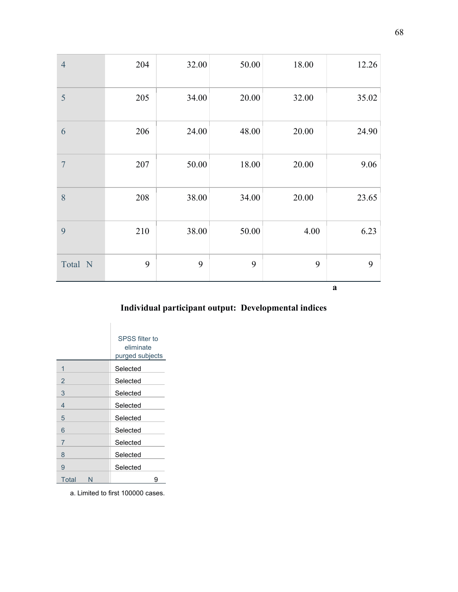| $\overline{4}$  | 204 | 32.00 | 50.00 | 18.00 | 12.26    |
|-----------------|-----|-------|-------|-------|----------|
| 5               | 205 | 34.00 | 20.00 | 32.00 | 35.02    |
| 6               | 206 | 24.00 | 48.00 | 20.00 | 24.90    |
| $7\phantom{.0}$ | 207 | 50.00 | 18.00 | 20.00 | 9.06     |
| 8               | 208 | 38.00 | 34.00 | 20.00 | 23.65    |
| 9               | 210 | 38.00 | 50.00 | 4.00  | 6.23     |
| Total N         | 9   | 9     | 9     | 9     | 9        |
|                 |     |       |       |       | $\bf{a}$ |

# **Individual participant output: Developmental indices**

|                | SPSS filter to<br>eliminate<br>purged subjects |
|----------------|------------------------------------------------|
| 1              | Selected                                       |
| $\overline{2}$ | Selected                                       |
| 3              | Selected                                       |
| 4              | Selected                                       |
| 5              | Selected                                       |
| 6              | Selected                                       |
| 7              | Selected                                       |
| 8              | Selected                                       |
| 9              | Selected                                       |
| Total<br>N     | g                                              |

a. Limited to first 100000 cases.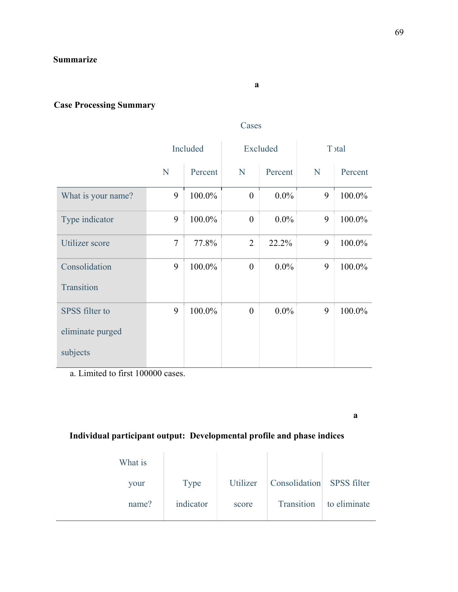#### **a**

# **Case Processing Summary**

#### Cases

|                    | Included       |         | Excluded         |         | T stal |         |
|--------------------|----------------|---------|------------------|---------|--------|---------|
|                    | N              | Percent | N                | Percent | N      | Percent |
| What is your name? | 9              | 100.0%  | $\theta$         | $0.0\%$ | 9      | 100.0%  |
| Type indicator     | 9              | 100.0%  | $\overline{0}$   | $0.0\%$ | 9      | 100.0%  |
| Utilizer score     | $\overline{7}$ | 77.8%   | $\overline{2}$   | 22.2%   | 9      | 100.0%  |
| Consolidation      | 9              | 100.0%  | $\overline{0}$   | $0.0\%$ | 9      | 100.0%  |
| Transition         |                |         |                  |         |        |         |
| SPSS filter to     | 9              | 100.0%  | $\boldsymbol{0}$ | $0.0\%$ | 9      | 100.0%  |
| eliminate purged   |                |         |                  |         |        |         |
| subjects           |                |         |                  |         |        |         |

a. Limited to first 100000 cases.

**a** 

### **Individual participant output: Developmental profile and phase indices**

| What is |             |          |                             |              |
|---------|-------------|----------|-----------------------------|--------------|
| your    | <b>Type</b> | Utilizer | Consolidation   SPSS filter |              |
| name?   | indicator   | score    | Transition                  | to eliminate |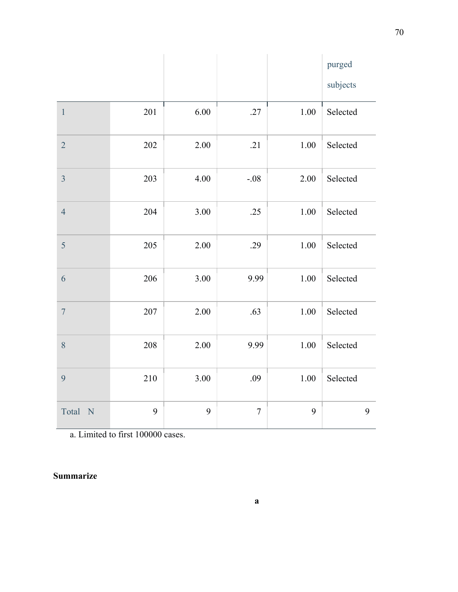|                      |     |      |        |          | purged   |
|----------------------|-----|------|--------|----------|----------|
|                      |     |      |        |          | subjects |
| $\,1\,$              | 201 | 6.00 | .27    | 1.00     | Selected |
| $\overline{2}$       | 202 | 2.00 | .21    | $1.00\,$ | Selected |
| $\overline{3}$       | 203 | 4.00 | $-.08$ | 2.00     | Selected |
| $\overline{4}$       | 204 | 3.00 | .25    | 1.00     | Selected |
| 5                    | 205 | 2.00 | .29    | $1.00\,$ | Selected |
| 6                    | 206 | 3.00 | 9.99   | $1.00\,$ | Selected |
| $\overline{7}$       | 207 | 2.00 | .63    | $1.00\,$ | Selected |
| $\,8\,$              | 208 | 2.00 | 9.99   | 1.00     | Selected |
| 9                    | 210 | 3.00 | .09    | $1.00\,$ | Selected |
| Total<br>$\mathbf N$ | 9   | 9    | $\tau$ | 9        | 9        |

### **Summarize**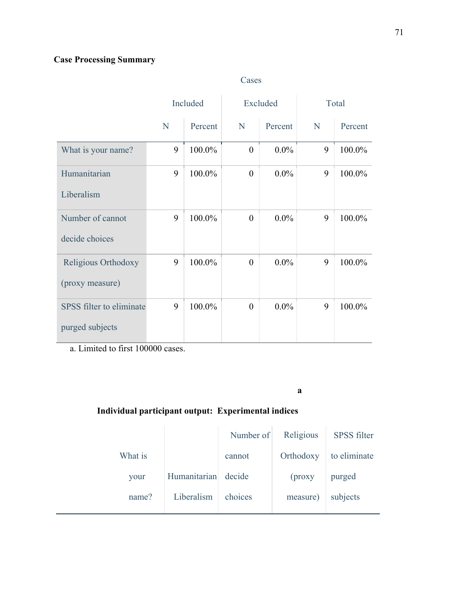## **Case Processing Summary**

|                          | Included |         | Excluded       |         | Total |         |
|--------------------------|----------|---------|----------------|---------|-------|---------|
|                          | N        | Percent | N              | Percent | N     | Percent |
| What is your name?       | 9        | 100.0%  | $\theta$       | $0.0\%$ | 9     | 100.0%  |
| Humanitarian             | 9        | 100.0%  | $\overline{0}$ | $0.0\%$ | 9     | 100.0%  |
| Liberalism               |          |         |                |         |       |         |
| Number of cannot         | 9        | 100.0%  | $\overline{0}$ | $0.0\%$ | 9     | 100.0%  |
| decide choices           |          |         |                |         |       |         |
| Religious Orthodoxy      | 9        | 100.0%  | $\overline{0}$ | $0.0\%$ | 9     | 100.0%  |
| (proxy measure)          |          |         |                |         |       |         |
| SPSS filter to eliminate | 9        | 100.0%  | $\overline{0}$ | $0.0\%$ | 9     | 100.0%  |
| purged subjects          |          |         |                |         |       |         |

Cases

a. Limited to first 100000 cases.

**a**

## **Individual participant output: Experimental indices**

|         |              | Number of | Religious | <b>SPSS</b> filter |
|---------|--------------|-----------|-----------|--------------------|
| What is |              | cannot    | Orthodoxy | to eliminate       |
| your    | Humanitarian | decide    | $($ proxy | purged             |
| name?   | Liberalism   | choices   | measure)  | subjects           |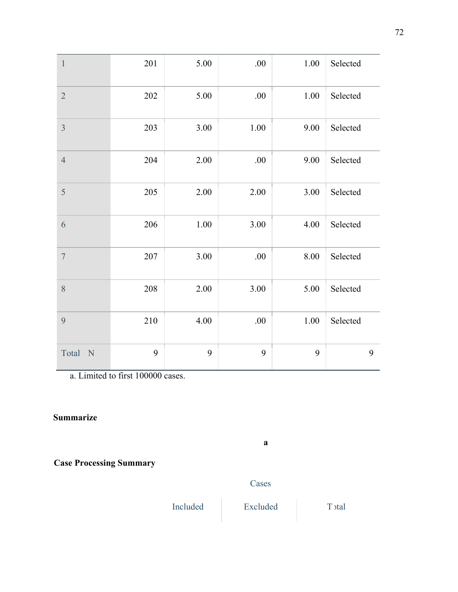| $\mathbf{1}$   | 201 | 5.00 | .00.     | 1.00 | Selected |
|----------------|-----|------|----------|------|----------|
| $\overline{2}$ | 202 | 5.00 | .00.     | 1.00 | Selected |
| 3              | 203 | 3.00 | $1.00\,$ | 9.00 | Selected |
| $\overline{4}$ | 204 | 2.00 | .00      | 9.00 | Selected |
| 5              | 205 | 2.00 | 2.00     | 3.00 | Selected |
| 6              | 206 | 1.00 | 3.00     | 4.00 | Selected |
| $\overline{7}$ | 207 | 3.00 | .00.     | 8.00 | Selected |
| 8              | 208 | 2.00 | 3.00     | 5.00 | Selected |
| 9              | 210 | 4.00 | .00.     | 1.00 | Selected |
| Total<br>N     | 9   | 9    | 9        | 9    | 9        |

### **Summarize**

**Case Processing Summary**

Included Excluded Total

Cases

**a**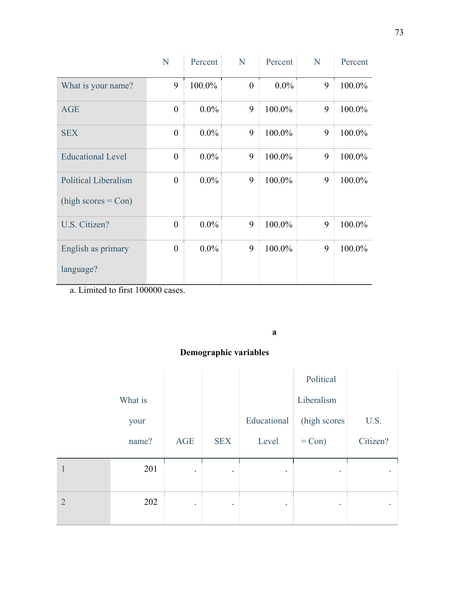|                             | N                | Percent | N              | Percent | N | Percent |
|-----------------------------|------------------|---------|----------------|---------|---|---------|
| What is your name?          | 9                | 100.0%  | $\overline{0}$ | $0.0\%$ | 9 | 100.0%  |
| <b>AGE</b>                  | $\overline{0}$   | $0.0\%$ | 9              | 100.0%  | 9 | 100.0%  |
| <b>SEX</b>                  | $\boldsymbol{0}$ | $0.0\%$ | 9              | 100.0%  | 9 | 100.0%  |
| <b>Educational Level</b>    | $\boldsymbol{0}$ | $0.0\%$ | 9              | 100.0%  | 9 | 100.0%  |
| <b>Political Liberalism</b> | $\overline{0}$   | $0.0\%$ | 9              | 100.0%  | 9 | 100.0%  |
| $(high scores = Con)$       |                  |         |                |         |   |         |
| U.S. Citizen?               | $\boldsymbol{0}$ | $0.0\%$ | 9              | 100.0%  | 9 | 100.0%  |
| English as primary          | $\boldsymbol{0}$ | $0.0\%$ | 9              | 100.0%  | 9 | 100.0%  |
| language?                   |                  |         |                |         |   |         |

**a** 

## **Demographic variables**

|                |         |           |            |             | Political    |           |
|----------------|---------|-----------|------------|-------------|--------------|-----------|
|                | What is |           |            |             | Liberalism   |           |
|                | your    |           |            | Educational | (high scores | U.S.      |
|                | name?   | AGE       | <b>SEX</b> | Level       | $=$ Con $)$  | Citizen?  |
| 1              | 201     | $\bullet$ | $\bullet$  | $\bullet$   | $\bullet$    | $\bullet$ |
| $\overline{2}$ | 202     | $\bullet$ | $\bullet$  | $\bullet$   | $\bullet$    | $\bullet$ |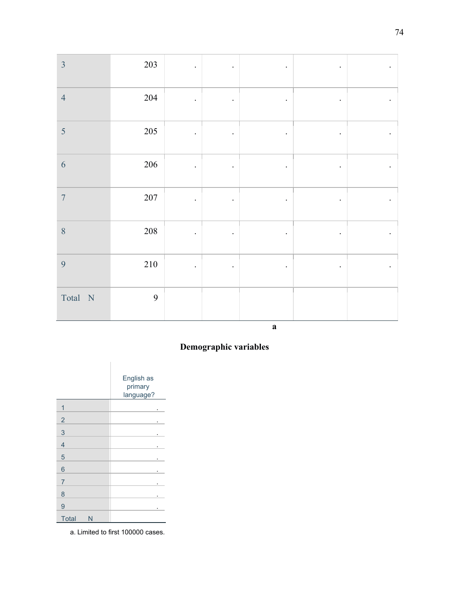| $\overline{3}$ | 203     | $\bullet$            | $\bullet$ | $\bullet$ | $\bullet$ |  |
|----------------|---------|----------------------|-----------|-----------|-----------|--|
| $\overline{4}$ | 204     |                      | $\bullet$ | $\bullet$ | $\bullet$ |  |
| 5              | 205     | $\bullet$            | $\bullet$ | $\bullet$ | ۰         |  |
| 6              | 206     | $\bullet$            | $\cdot$   | $\bullet$ | $\bullet$ |  |
| $\overline{7}$ | 207     | $\ddot{\phantom{0}}$ | $\bullet$ | $\bullet$ | $\bullet$ |  |
| $\, 8$         | 208     | $\bullet$            | $\cdot$   | $\bullet$ | $\bullet$ |  |
| 9              | $210\,$ | $\bullet$            | $\bullet$ | $\bullet$ | $\bullet$ |  |
| Total N        | 9       |                      |           |           |           |  |

**a** 

### **Demographic variables**

|                   | English as<br>primary<br>language? |
|-------------------|------------------------------------|
| 1                 |                                    |
| $\overline{2}$    | ٠                                  |
| 3                 |                                    |
| $\overline{4}$    |                                    |
| 5                 |                                    |
| 6                 |                                    |
| 7                 |                                    |
| 8                 |                                    |
| 9                 | ٠                                  |
| <b>Total</b><br>N |                                    |

a. Limited to first 100000 cases.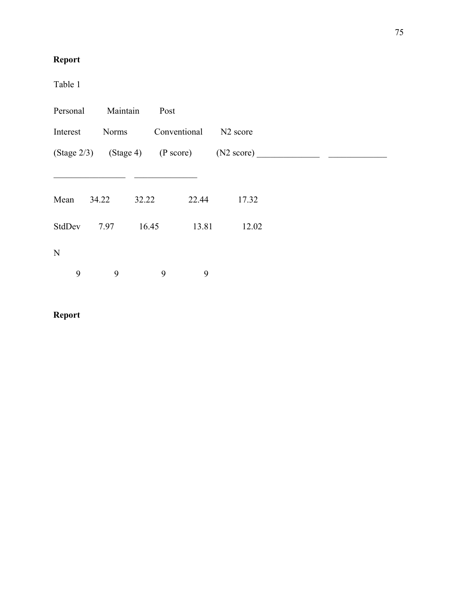# **Report**

Table 1

| Personal | Maintain | Post               |       |                                                    |  |
|----------|----------|--------------------|-------|----------------------------------------------------|--|
| Interest |          | Norms Conventional |       | N <sub>2</sub> score                               |  |
|          |          |                    |       | $(Stage 2/3)$ $(Stage 4)$ $(P score)$ $(N2 score)$ |  |
|          |          |                    |       |                                                    |  |
| Mean     | 34.22    | 32.22              | 22.44 | 17.32                                              |  |
| StdDev   | 7.97     | 16.45              | 13.81 | 12.02                                              |  |
| N        |          |                    |       |                                                    |  |
| 9        | 9        | 9                  | 9     |                                                    |  |

# **Report**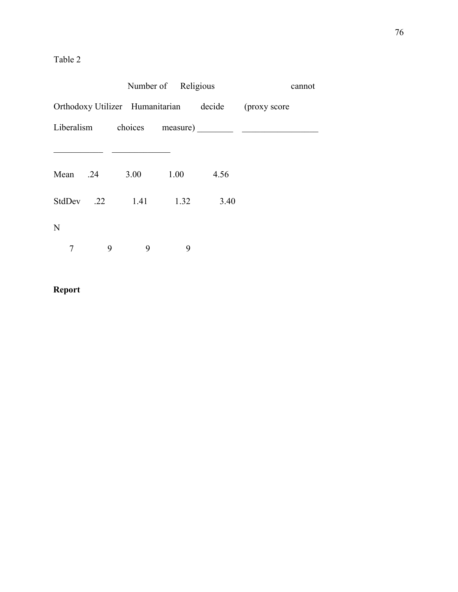## Table 2

|          |   |                      | Number of Religious |      | cannot                                              |  |
|----------|---|----------------------|---------------------|------|-----------------------------------------------------|--|
|          |   |                      |                     |      | Orthodoxy Utilizer Humanitarian decide (proxy score |  |
|          |   |                      |                     |      |                                                     |  |
|          |   |                      |                     |      |                                                     |  |
| Mean .24 |   | 3.00                 | 1.00                | 4.56 |                                                     |  |
|          |   | StdDev .22 1.41 1.32 |                     | 3.40 |                                                     |  |
| N        |   |                      |                     |      |                                                     |  |
| 7        | 9 | 9                    | 9                   |      |                                                     |  |

# **Report**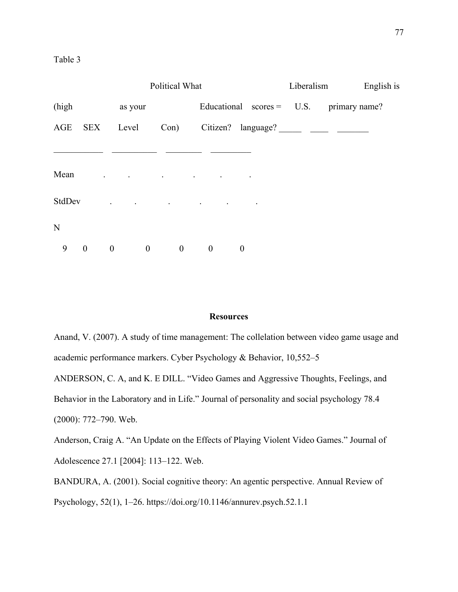|                     |                                                                | Political What                               |                   |                  | Liberalism | English is                                |
|---------------------|----------------------------------------------------------------|----------------------------------------------|-------------------|------------------|------------|-------------------------------------------|
| (high               | as your                                                        |                                              |                   |                  |            | Educational scores = $U.S.$ primary name? |
| AGE<br>$\rm SEX$    | Level                                                          | Con)                                         |                   |                  |            | Citizen? language?                        |
|                     |                                                                |                                              |                   |                  |            |                                           |
| Mean                | $\mathbf{z} = \mathbf{z} \times \mathbf{z}$ . The $\mathbf{z}$ | the control of the control of the control of | <b>Contractor</b> |                  |            |                                           |
| StdDev              | and the control of the control of the control of               |                                              |                   |                  |            |                                           |
| $\mathbf N$         |                                                                |                                              |                   |                  |            |                                           |
| 9<br>$\overline{0}$ | $\boldsymbol{0}$<br>$\boldsymbol{0}$                           | $\boldsymbol{0}$                             | $\mathbf{0}$      | $\boldsymbol{0}$ |            |                                           |

#### **Resources**

Anand, V. (2007). A study of time management: The collelation between video game usage and academic performance markers. Cyber Psychology & Behavior, 10,552–5

ANDERSON, C. A, and K. E DILL. "Video Games and Aggressive Thoughts, Feelings, and Behavior in the Laboratory and in Life." Journal of personality and social psychology 78.4 (2000): 772–790. Web.

Anderson, Craig A. "An Update on the Effects of Playing Violent Video Games." Journal of Adolescence 27.1 [2004]: 113–122. Web.

BANDURA, A. (2001). Social cognitive theory: An agentic perspective. Annual Review of Psychology, 52(1), 1–26. https://doi.org/10.1146/annurev.psych.52.1.1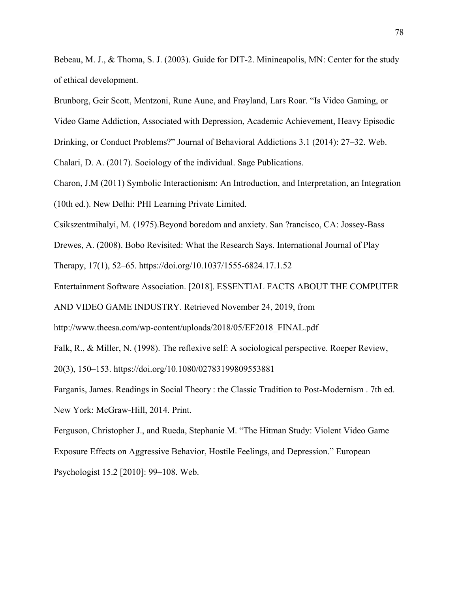Bebeau, M. J., & Thoma, S. J. (2003). Guide for DIT-2. Minineapolis, MN: Center for the study of ethical development.

Brunborg, Geir Scott, Mentzoni, Rune Aune, and Frøyland, Lars Roar. "Is Video Gaming, or

Video Game Addiction, Associated with Depression, Academic Achievement, Heavy Episodic

Drinking, or Conduct Problems?" Journal of Behavioral Addictions 3.1 (2014): 27–32. Web.

Chalari, D. A. (2017). Sociology of the individual. Sage Publications.

Charon, J.M (2011) Symbolic Interactionism: An Introduction, and Interpretation, an Integration (10th ed.). New Delhi: PHI Learning Private Limited.

Csikszentmihalyi, M. (1975).Beyond boredom and anxiety. San ?rancisco, CA: Jossey-Bass

Drewes, A. (2008). Bobo Revisited: What the Research Says. International Journal of Play

Therapy, 17(1), 52–65. https://doi.org/10.1037/1555-6824.17.1.52

Entertainment Software Association. [2018]. ESSENTIAL FACTS ABOUT THE COMPUTER

AND VIDEO GAME INDUSTRY. Retrieved November 24, 2019, from

http://www.theesa.com/wp-content/uploads/2018/05/EF2018\_FINAL.pdf

Falk, R., & Miller, N. (1998). The reflexive self: A sociological perspective. Roeper Review,

20(3), 150–153. https://doi.org/10.1080/02783199809553881

Farganis, James. Readings in Social Theory : the Classic Tradition to Post-Modernism . 7th ed. New York: McGraw-Hill, 2014. Print.

Ferguson, Christopher J., and Rueda, Stephanie M. "The Hitman Study: Violent Video Game Exposure Effects on Aggressive Behavior, Hostile Feelings, and Depression." European Psychologist 15.2 [2010]: 99–108. Web.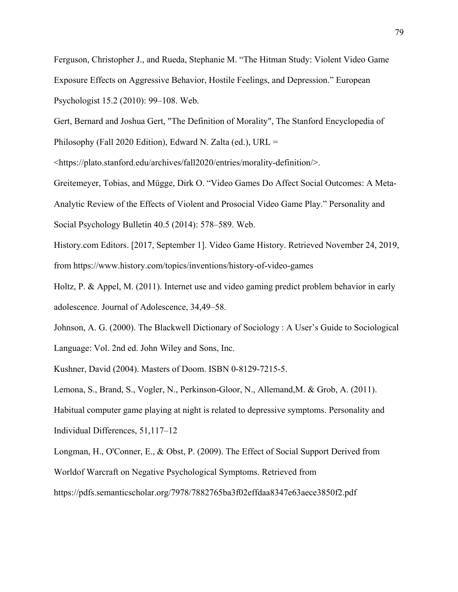Ferguson, Christopher J., and Rueda, Stephanie M. "The Hitman Study: Violent Video Game Exposure Effects on Aggressive Behavior, Hostile Feelings, and Depression." European Psychologist 15.2 (2010): 99–108. Web.

Gert, Bernard and Joshua Gert, "The Definition of Morality", The Stanford Encyclopedia of

Philosophy (Fall 2020 Edition), Edward N. Zalta (ed.), URL =

<https://plato.stanford.edu/archives/fall2020/entries/morality-definition/>.

Greitemeyer, Tobias, and Mügge, Dirk O. "Video Games Do Affect Social Outcomes: A Meta-Analytic Review of the Effects of Violent and Prosocial Video Game Play." Personality and Social Psychology Bulletin 40.5 (2014): 578–589. Web.

History.com Editors. [2017, September 1]. Video Game History. Retrieved November 24, 2019, from https://www.history.com/topics/inventions/history-of-video-games

Holtz, P. & Appel, M. (2011). Internet use and video gaming predict problem behavior in early adolescence. Journal of Adolescence, 34,49–58.

Johnson, A. G. (2000). The Blackwell Dictionary of Sociology : A User's Guide to Sociological Language: Vol. 2nd ed. John Wiley and Sons, Inc.

Kushner, David (2004). Masters of Doom. ISBN 0-8129-7215-5.

Lemona, S., Brand, S., Vogler, N., Perkinson-Gloor, N., Allemand,M. & Grob, A. (2011). Habitual computer game playing at night is related to depressive symptoms. Personality and Individual Differences, 51,117–12

Longman, H., O'Conner, E., & Obst, P. (2009). The Effect of Social Support Derived from Worldof Warcraft on Negative Psychological Symptoms. Retrieved from https://pdfs.semanticscholar.org/7978/7882765ba3f02effdaa8347e63aece3850f2.pdf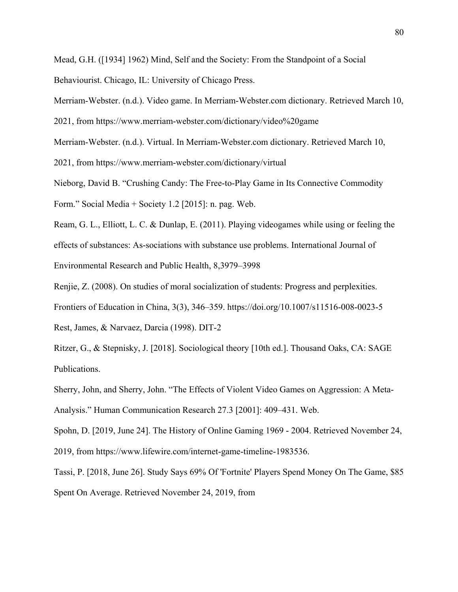Mead, G.H. ([1934] 1962) Mind, Self and the Society: From the Standpoint of a Social

Behaviourist. Chicago, IL: University of Chicago Press.

Merriam-Webster. (n.d.). Video game. In Merriam-Webster.com dictionary. Retrieved March 10,

2021, from https://www.merriam-webster.com/dictionary/video%20game

Merriam-Webster. (n.d.). Virtual. In Merriam-Webster.com dictionary. Retrieved March 10,

2021, from https://www.merriam-webster.com/dictionary/virtual

Nieborg, David B. "Crushing Candy: The Free-to-Play Game in Its Connective Commodity

Form." Social Media + Society 1.2 [2015]: n. pag. Web.

Ream, G. L., Elliott, L. C. & Dunlap, E. (2011). Playing videogames while using or feeling the effects of substances: As-sociations with substance use problems. International Journal of Environmental Research and Public Health, 8,3979–3998

Renjie, Z. (2008). On studies of moral socialization of students: Progress and perplexities.

Frontiers of Education in China, 3(3), 346–359. https://doi.org/10.1007/s11516-008-0023-5

Rest, James, & Narvaez, Darcia (1998). DIT-2

Ritzer, G., & Stepnisky, J. [2018]. Sociological theory [10th ed.]. Thousand Oaks, CA: SAGE Publications.

Sherry, John, and Sherry, John. "The Effects of Violent Video Games on Aggression: A Meta-Analysis." Human Communication Research 27.3 [2001]: 409–431. Web.

Spohn, D. [2019, June 24]. The History of Online Gaming 1969 - 2004. Retrieved November 24, 2019, from https://www.lifewire.com/internet-game-timeline-1983536.

Tassi, P. [2018, June 26]. Study Says 69% Of 'Fortnite' Players Spend Money On The Game, \$85 Spent On Average. Retrieved November 24, 2019, from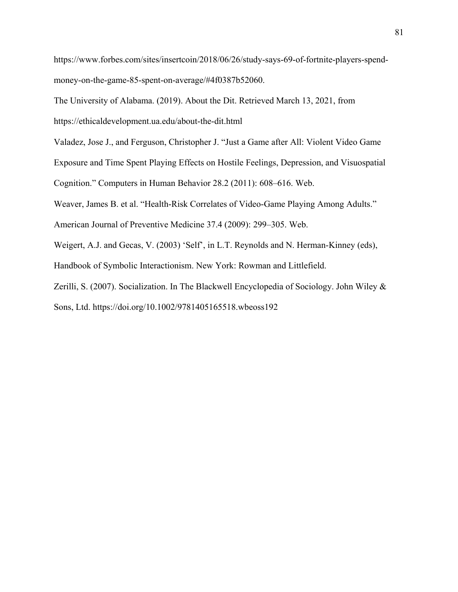https://www.forbes.com/sites/insertcoin/2018/06/26/study-says-69-of-fortnite-players-spendmoney-on-the-game-85-spent-on-average/#4f0387b52060.

The University of Alabama. (2019). About the Dit. Retrieved March 13, 2021, from

https://ethicaldevelopment.ua.edu/about-the-dit.html

Valadez, Jose J., and Ferguson, Christopher J. "Just a Game after All: Violent Video Game

Exposure and Time Spent Playing Effects on Hostile Feelings, Depression, and Visuospatial

Cognition." Computers in Human Behavior 28.2 (2011): 608–616. Web.

Weaver, James B. et al. "Health-Risk Correlates of Video-Game Playing Among Adults."

American Journal of Preventive Medicine 37.4 (2009): 299–305. Web.

Weigert, A.J. and Gecas, V. (2003) 'Self', in L.T. Reynolds and N. Herman-Kinney (eds),

Handbook of Symbolic Interactionism. New York: Rowman and Littlefield.

Zerilli, S. (2007). Socialization. In The Blackwell Encyclopedia of Sociology. John Wiley & Sons, Ltd. https://doi.org/10.1002/9781405165518.wbeoss192